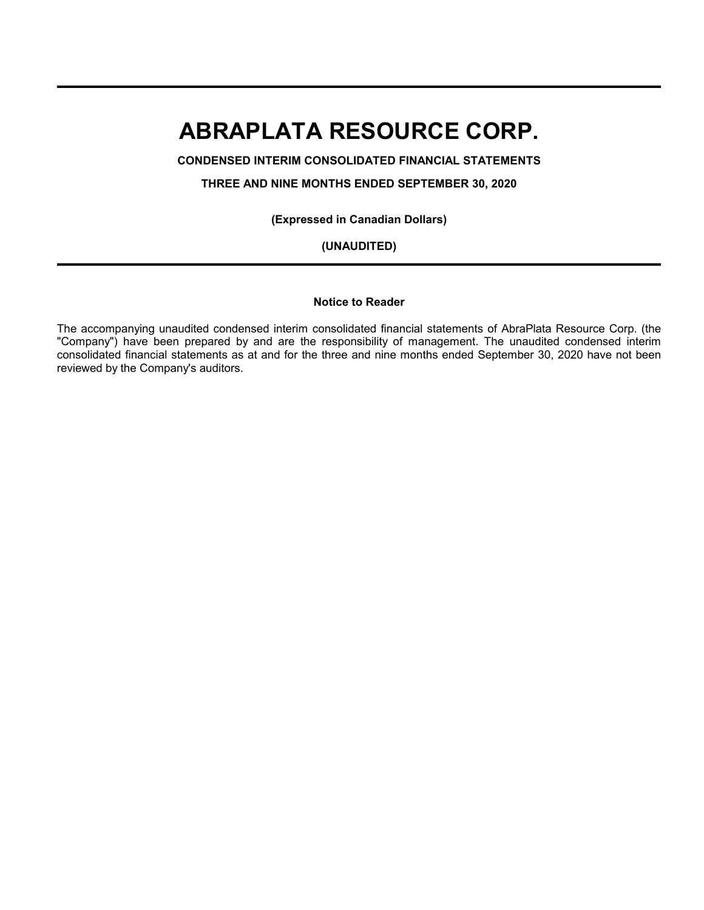**CONDENSED INTERIM CONSOLIDATED FINANCIAL STATEMENTS**

**THREE AND NINE MONTHS ENDED SEPTEMBER 30, 2020**

**(Expressed in Canadian Dollars)**

**(UNAUDITED)**

#### **Notice to Reader**

The accompanying unaudited condensed interim consolidated financial statements of AbraPlata Resource Corp. (the "Company") have been prepared by and are the responsibility of management. The unaudited condensed interim consolidated financial statements as at and for the three and nine months ended September 30, 2020 have not been reviewed by the Company's auditors.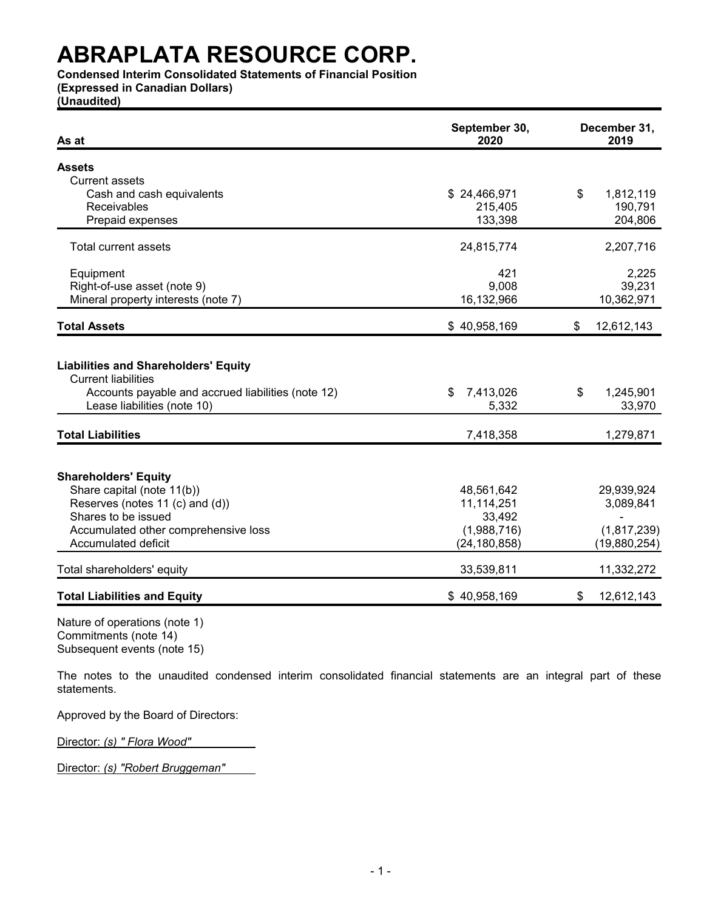**Condensed Interim Consolidated Statements of Financial Position**

**(Expressed in Canadian Dollars)**

**(Unaudited)**

| As at                                                                                                                                                                                     | September 30,<br>2020                                               | December 31,<br>2019                                   |
|-------------------------------------------------------------------------------------------------------------------------------------------------------------------------------------------|---------------------------------------------------------------------|--------------------------------------------------------|
| <b>Assets</b>                                                                                                                                                                             |                                                                     |                                                        |
| <b>Current assets</b>                                                                                                                                                                     |                                                                     |                                                        |
| Cash and cash equivalents                                                                                                                                                                 | \$24,466,971                                                        | \$<br>1,812,119                                        |
| Receivables                                                                                                                                                                               | 215,405                                                             | 190,791                                                |
| Prepaid expenses                                                                                                                                                                          | 133,398                                                             | 204,806                                                |
| Total current assets                                                                                                                                                                      | 24,815,774                                                          | 2,207,716                                              |
| Equipment                                                                                                                                                                                 | 421                                                                 | 2,225                                                  |
| Right-of-use asset (note 9)                                                                                                                                                               | 9,008                                                               | 39,231                                                 |
| Mineral property interests (note 7)                                                                                                                                                       | 16,132,966                                                          | 10,362,971                                             |
| <b>Total Assets</b>                                                                                                                                                                       | \$40,958,169                                                        | \$<br>12,612,143                                       |
| <b>Liabilities and Shareholders' Equity</b><br><b>Current liabilities</b><br>Accounts payable and accrued liabilities (note 12)<br>Lease liabilities (note 10)                            | 7,413,026<br>\$<br>5,332                                            | \$<br>1,245,901<br>33,970                              |
| <b>Total Liabilities</b>                                                                                                                                                                  | 7,418,358                                                           | 1,279,871                                              |
| <b>Shareholders' Equity</b><br>Share capital (note 11(b))<br>Reserves (notes 11 (c) and (d))<br>Shares to be issued<br>Accumulated other comprehensive loss<br><b>Accumulated deficit</b> | 48,561,642<br>11,114,251<br>33,492<br>(1,988,716)<br>(24, 180, 858) | 29,939,924<br>3,089,841<br>(1,817,239)<br>(19,880,254) |
| Total shareholders' equity                                                                                                                                                                | 33,539,811                                                          | 11,332,272                                             |
| <b>Total Liabilities and Equity</b>                                                                                                                                                       | \$40,958,169                                                        | \$<br>12,612,143                                       |

Nature of operations (note 1) Commitments (note 14) Subsequent events (note 15)

The notes to the unaudited condensed interim consolidated financial statements are an integral part of these statements.

Approved by the Board of Directors:

Director: *(s) " Flora Wood"*

Director: *(s) "Robert Bruggeman"*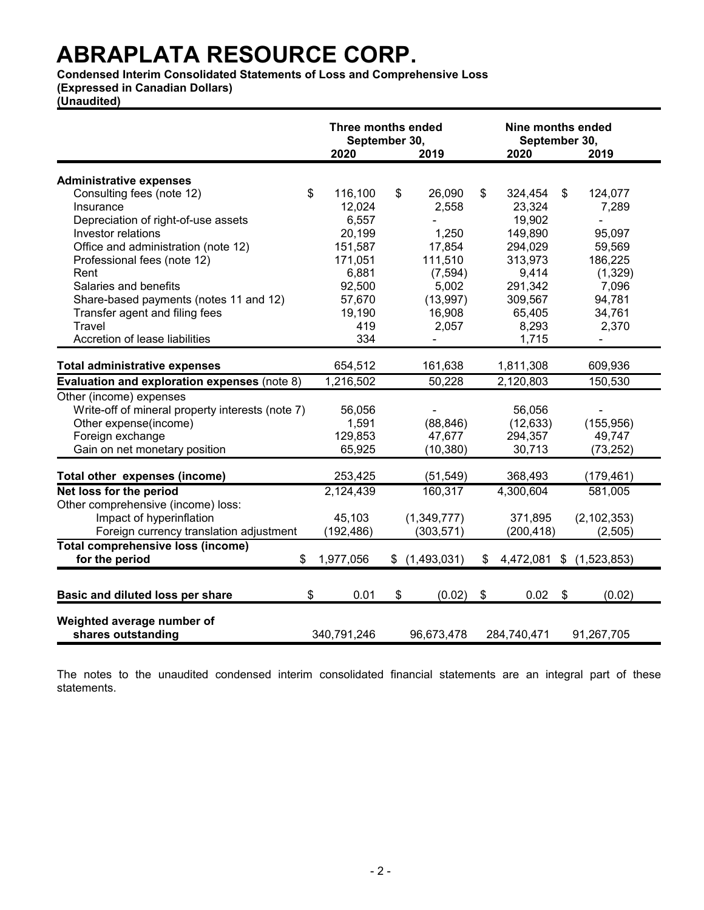**Condensed Interim Consolidated Statements of Loss and Comprehensive Loss** 

**(Expressed in Canadian Dollars)**

**(Unaudited)**

|                                                  | Three months ended<br>September 30, |               | September 30, | Nine months ended |                          |
|--------------------------------------------------|-------------------------------------|---------------|---------------|-------------------|--------------------------|
|                                                  | 2020                                | 2019          | 2020          |                   | 2019                     |
| <b>Administrative expenses</b>                   |                                     |               |               |                   |                          |
| \$                                               | 116,100                             | \$<br>26,090  | \$            | 324,454           | \$<br>124,077            |
| Consulting fees (note 12)<br>Insurance           |                                     |               |               |                   |                          |
|                                                  | 12,024                              | 2,558         |               | 23,324            | 7,289<br>L.              |
| Depreciation of right-of-use assets              | 6,557                               |               |               | 19,902            |                          |
| Investor relations                               | 20,199                              | 1,250         |               | 149,890           | 95,097                   |
| Office and administration (note 12)              | 151,587                             | 17,854        |               | 294,029           | 59,569                   |
| Professional fees (note 12)                      | 171,051                             | 111,510       |               | 313,973           | 186,225                  |
| Rent                                             | 6,881                               | (7, 594)      |               | 9,414             | (1,329)                  |
| Salaries and benefits                            | 92,500                              | 5,002         |               | 291,342           | 7,096                    |
| Share-based payments (notes 11 and 12)           | 57,670                              | (13,997)      |               | 309,567           | 94,781                   |
| Transfer agent and filing fees                   | 19,190                              | 16,908        |               | 65,405            | 34,761                   |
| <b>Travel</b>                                    | 419                                 | 2,057         |               | 8,293             | 2,370                    |
| Accretion of lease liabilities                   | 334                                 |               |               | 1,715             |                          |
| <b>Total administrative expenses</b>             | 654,512                             | 161,638       |               | 1,811,308         | 609,936                  |
| Evaluation and exploration expenses (note 8)     | 1,216,502                           | 50,228        |               | 2,120,803         | 150,530                  |
| Other (income) expenses                          |                                     |               |               |                   |                          |
| Write-off of mineral property interests (note 7) | 56,056                              |               |               | 56,056            |                          |
| Other expense(income)                            | 1,591                               | (88, 846)     |               | (12, 633)         | (155, 956)               |
| Foreign exchange                                 | 129,853                             | 47,677        |               | 294,357           | 49,747                   |
| Gain on net monetary position                    | 65,925                              | (10, 380)     |               | 30,713            | (73, 252)                |
| Total other expenses (income)                    | 253,425                             | (51, 549)     |               | 368,493           | (179, 461)               |
| Net loss for the period                          | 2,124,439                           | 160,317       |               | 4,300,604         | 581,005                  |
|                                                  |                                     |               |               |                   |                          |
| Other comprehensive (income) loss:               |                                     |               |               |                   |                          |
| Impact of hyperinflation                         | 45,103                              | (1,349,777)   |               | 371,895           | (2, 102, 353)            |
| Foreign currency translation adjustment          | (192, 486)                          | (303, 571)    |               | (200, 418)        | (2,505)                  |
| Total comprehensive loss (income)                |                                     |               |               |                   |                          |
| for the period<br>\$                             | 1,977,056                           | \$(1,493,031) | \$            |                   | 4,472,081 \$ (1,523,853) |
| \$<br>Basic and diluted loss per share           | 0.01                                | \$<br>(0.02)  | $\sqrt[6]{2}$ | 0.02              | \$<br>(0.02)             |
| Weighted average number of<br>shares outstanding | 340,791,246                         | 96,673,478    | 284,740,471   |                   | 91,267,705               |

The notes to the unaudited condensed interim consolidated financial statements are an integral part of these statements.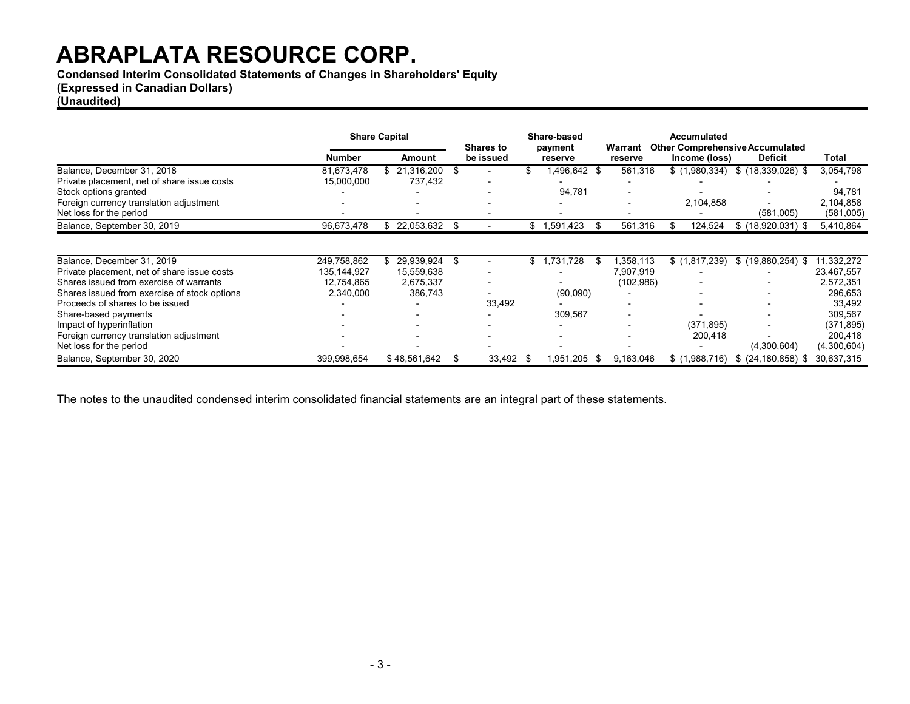**Condensed Interim Consolidated Statements of Changes in Shareholders' Equity**

# **(Expressed in Canadian Dollars)**

# **(Unaudited)**

|                                              | <b>Share Capital</b> |    |              |      |           |      |              |           |                          | <b>Shares to</b>      |             | Share-based<br>payment | Warrant | Accumulated | <b>Other Comprehensive Accumulated</b> |  |
|----------------------------------------------|----------------------|----|--------------|------|-----------|------|--------------|-----------|--------------------------|-----------------------|-------------|------------------------|---------|-------------|----------------------------------------|--|
|                                              | Number               |    | Amount       |      | be issued |      | reserve      | reserve   | Income (loss)            | <b>Deficit</b>        | Total       |                        |         |             |                                        |  |
| Balance, December 31, 2018                   | 81,673,478           | \$ | 21,316,200   |      |           | \$.  | 1,496,642 \$ | 561,316   | \$(1,980,334)            | $$(18,339,026)$ \$    | 3,054,798   |                        |         |             |                                        |  |
| Private placement, net of share issue costs  | 15,000,000           |    | 737,432      |      |           |      |              |           |                          |                       |             |                        |         |             |                                        |  |
| Stock options granted                        |                      |    |              |      | -         |      | 94,781       |           |                          |                       | 94,781      |                        |         |             |                                        |  |
| Foreign currency translation adjustment      |                      |    |              |      |           |      |              |           | 2,104,858                |                       | 2,104,858   |                        |         |             |                                        |  |
| Net loss for the period                      |                      |    |              |      |           |      |              |           |                          | (581,005)             | (581,005)   |                        |         |             |                                        |  |
| Balance, September 30, 2019                  | 96,673,478           |    | 22,053,632   |      |           | \$   | 1,591,423    | 561,316   | 124,524                  | $$$ (18,920,031) \$   | 5,410,864   |                        |         |             |                                        |  |
|                                              |                      |    |              |      |           |      |              |           |                          |                       |             |                        |         |             |                                        |  |
| Balance, December 31, 2019                   | 249,758,862          | \$ | 29,939,924   | - 35 |           | \$   | .731,728     | 1,358,113 | \$(1,817,239)            | $$(19,880,254)$ \$    | 11,332,272  |                        |         |             |                                        |  |
| Private placement, net of share issue costs  | 135, 144, 927        |    | 15,559,638   |      |           |      |              | 7,907,919 |                          |                       | 23,467,557  |                        |         |             |                                        |  |
| Shares issued from exercise of warrants      | 12,754,865           |    | 2,675,337    |      |           |      |              | (102,986) | $\overline{\phantom{0}}$ |                       | 2,572,351   |                        |         |             |                                        |  |
| Shares issued from exercise of stock options | 2,340,000            |    | 386,743      |      |           |      | (90,090)     |           | $\overline{\phantom{0}}$ |                       | 296,653     |                        |         |             |                                        |  |
| Proceeds of shares to be issued              |                      |    |              |      | 33,492    |      |              |           |                          |                       | 33,492      |                        |         |             |                                        |  |
| Share-based payments                         |                      |    |              |      |           |      | 309,567      |           |                          |                       | 309,567     |                        |         |             |                                        |  |
| Impact of hyperinflation                     |                      |    |              |      |           |      |              |           | (371, 895)               |                       | (371, 895)  |                        |         |             |                                        |  |
| Foreign currency translation adjustment      |                      |    |              |      |           |      |              |           | 200,418                  |                       | 200,418     |                        |         |             |                                        |  |
| Net loss for the period                      |                      |    |              |      |           |      |              |           |                          | (4,300,604)           | (4,300,604) |                        |         |             |                                        |  |
| Balance, September 30, 2020                  | 399,998,654          |    | \$48,561,642 |      | 33,492    | - \$ | 951,205      | 9,163,046 | \$(1,988,716)            | $$$ (24,180,858)<br>S | 30,637,315  |                        |         |             |                                        |  |

The notes to the unaudited condensed interim consolidated financial statements are an integral part of these statements.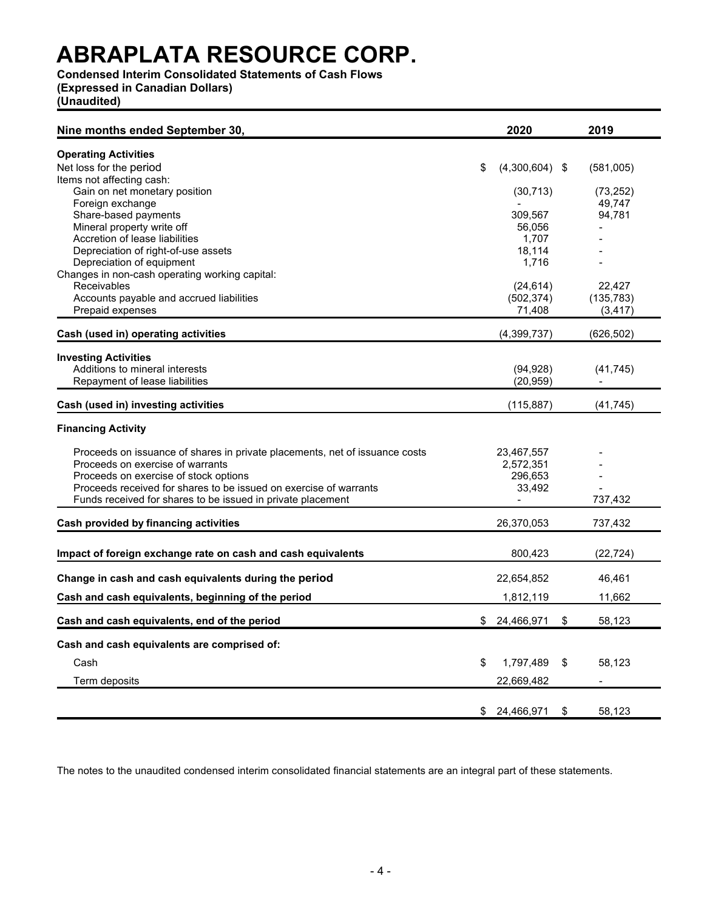# **Condensed Interim Consolidated Statements of Cash Flows**

**(Expressed in Canadian Dollars)**

**(Unaudited)**

| Nine months ended September 30,                                             | 2020                     | 2019         |
|-----------------------------------------------------------------------------|--------------------------|--------------|
| <b>Operating Activities</b>                                                 |                          |              |
| Net loss for the period                                                     | \$<br>$(4,300,604)$ \$   | (581,005)    |
| Items not affecting cash:                                                   |                          |              |
| Gain on net monetary position                                               | (30, 713)                | (73, 252)    |
| Foreign exchange                                                            |                          | 49,747       |
| Share-based payments                                                        | 309,567                  | 94,781       |
| Mineral property write off                                                  | 56,056                   |              |
| Accretion of lease liabilities                                              | 1,707                    |              |
| Depreciation of right-of-use assets                                         | 18,114                   |              |
| Depreciation of equipment                                                   | 1.716                    |              |
| Changes in non-cash operating working capital:                              |                          |              |
| Receivables                                                                 | (24, 614)                | 22,427       |
| Accounts payable and accrued liabilities                                    | (502, 374)               | (135, 783)   |
| Prepaid expenses                                                            | 71,408                   | (3, 417)     |
| Cash (used in) operating activities                                         | (4, 399, 737)            | (626, 502)   |
|                                                                             |                          |              |
| <b>Investing Activities</b>                                                 |                          |              |
| Additions to mineral interests                                              | (94, 928)                | (41, 745)    |
| Repayment of lease liabilities                                              | (20, 959)                |              |
| Cash (used in) investing activities                                         | (115, 887)               | (41, 745)    |
| <b>Financing Activity</b>                                                   |                          |              |
| Proceeds on issuance of shares in private placements, net of issuance costs | 23,467,557               |              |
| Proceeds on exercise of warrants                                            | 2,572,351                |              |
| Proceeds on exercise of stock options                                       | 296,653                  |              |
| Proceeds received for shares to be issued on exercise of warrants           | 33,492                   |              |
| Funds received for shares to be issued in private placement                 | $\overline{\phantom{a}}$ | 737,432      |
| Cash provided by financing activities                                       | 26,370,053               | 737,432      |
|                                                                             |                          |              |
| Impact of foreign exchange rate on cash and cash equivalents                | 800,423                  | (22, 724)    |
| Change in cash and cash equivalents during the period                       | 22,654,852               | 46,461       |
| Cash and cash equivalents, beginning of the period                          | 1,812,119                | 11,662       |
|                                                                             |                          |              |
| Cash and cash equivalents, end of the period                                | \$ 24,466,971            | \$<br>58,123 |
| Cash and cash equivalents are comprised of:                                 |                          |              |
| Cash                                                                        | \$<br>1,797,489          | \$<br>58,123 |
| Term deposits                                                               | 22,669,482               |              |
|                                                                             |                          |              |
|                                                                             | \$ 24,466,971            | \$<br>58,123 |

The notes to the unaudited condensed interim consolidated financial statements are an integral part of these statements.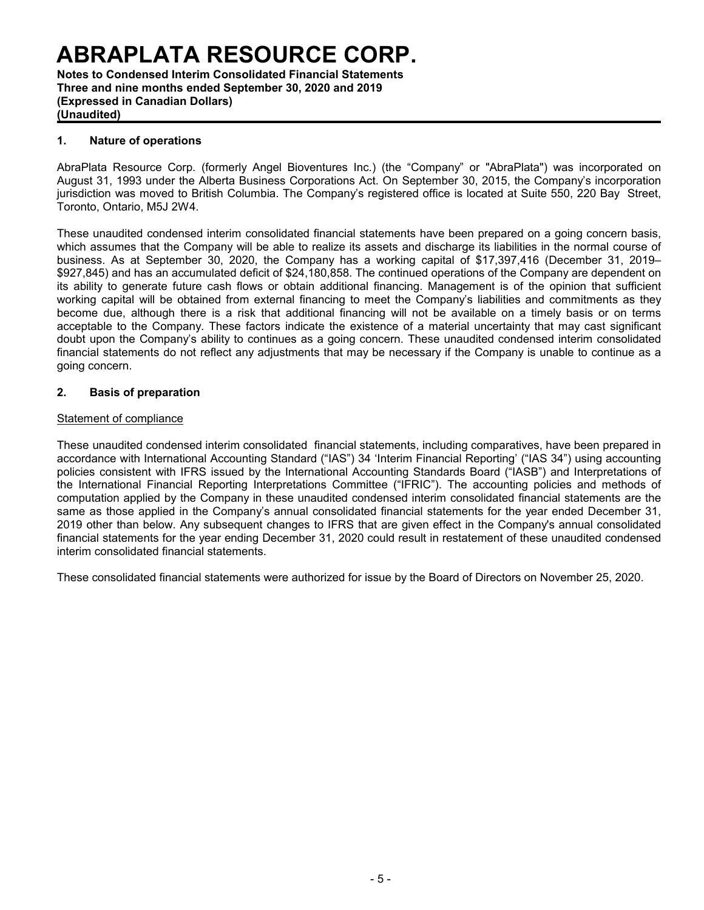**Notes to Condensed Interim Consolidated Financial Statements Three and nine months ended September 30, 2020 and 2019 (Expressed in Canadian Dollars) (Unaudited)**

### **1. Nature of operations**

AbraPlata Resource Corp. (formerly Angel Bioventures Inc.) (the "Company" or "AbraPlata") was incorporated on August 31, 1993 under the Alberta Business Corporations Act. On September 30, 2015, the Company's incorporation jurisdiction was moved to British Columbia. The Company's registered office is located at Suite 550, 220 Bay Street, Toronto, Ontario, M5J 2W4.

These unaudited condensed interim consolidated financial statements have been prepared on a going concern basis, which assumes that the Company will be able to realize its assets and discharge its liabilities in the normal course of business. As at September 30, 2020, the Company has a working capital of \$17,397,416 (December 31, 2019– \$927,845) and has an accumulated deficit of \$24,180,858. The continued operations of the Company are dependent on its ability to generate future cash flows or obtain additional financing. Management is of the opinion that sufficient working capital will be obtained from external financing to meet the Company's liabilities and commitments as they become due, although there is a risk that additional financing will not be available on a timely basis or on terms acceptable to the Company. These factors indicate the existence of a material uncertainty that may cast significant doubt upon the Company's ability to continues as a going concern. These unaudited condensed interim consolidated financial statements do not reflect any adjustments that may be necessary if the Company is unable to continue as a going concern.

### **2. Basis of preparation**

### Statement of compliance

These unaudited condensed interim consolidated financial statements, including comparatives, have been prepared in accordance with International Accounting Standard ("IAS") 34 'Interim Financial Reporting' ("IAS 34") using accounting policies consistent with IFRS issued by the International Accounting Standards Board ("IASB") and Interpretations of the International Financial Reporting Interpretations Committee ("IFRIC"). The accounting policies and methods of computation applied by the Company in these unaudited condensed interim consolidated financial statements are the same as those applied in the Company's annual consolidated financial statements for the year ended December 31, 2019 other than below. Any subsequent changes to IFRS that are given effect in the Company's annual consolidated financial statements for the year ending December 31, 2020 could result in restatement of these unaudited condensed interim consolidated financial statements.

These consolidated financial statements were authorized for issue by the Board of Directors on November 25, 2020.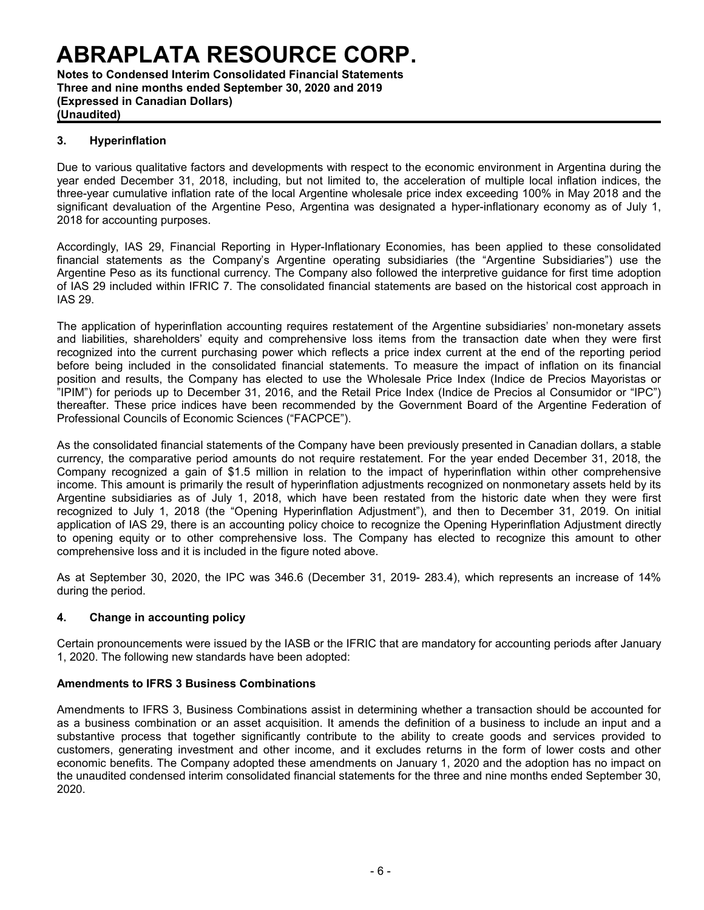**Notes to Condensed Interim Consolidated Financial Statements Three and nine months ended September 30, 2020 and 2019 (Expressed in Canadian Dollars) (Unaudited)**

# **3. Hyperinflation**

Due to various qualitative factors and developments with respect to the economic environment in Argentina during the year ended December 31, 2018, including, but not limited to, the acceleration of multiple local inflation indices, the three-year cumulative inflation rate of the local Argentine wholesale price index exceeding 100% in May 2018 and the significant devaluation of the Argentine Peso, Argentina was designated a hyper-inflationary economy as of July 1, 2018 for accounting purposes.

Accordingly, IAS 29, Financial Reporting in Hyper-Inflationary Economies, has been applied to these consolidated financial statements as the Company's Argentine operating subsidiaries (the "Argentine Subsidiaries") use the Argentine Peso as its functional currency. The Company also followed the interpretive guidance for first time adoption of IAS 29 included within IFRIC 7. The consolidated financial statements are based on the historical cost approach in IAS 29.

The application of hyperinflation accounting requires restatement of the Argentine subsidiaries' non-monetary assets and liabilities, shareholders' equity and comprehensive loss items from the transaction date when they were first recognized into the current purchasing power which reflects a price index current at the end of the reporting period before being included in the consolidated financial statements. To measure the impact of inflation on its financial position and results, the Company has elected to use the Wholesale Price Index (Indice de Precios Mayoristas or "IPIM") for periods up to December 31, 2016, and the Retail Price Index (Indice de Precios al Consumidor or "IPC") thereafter. These price indices have been recommended by the Government Board of the Argentine Federation of Professional Councils of Economic Sciences ("FACPCE").

As the consolidated financial statements of the Company have been previously presented in Canadian dollars, a stable currency, the comparative period amounts do not require restatement. For the year ended December 31, 2018, the Company recognized a gain of \$1.5 million in relation to the impact of hyperinflation within other comprehensive income. This amount is primarily the result of hyperinflation adjustments recognized on nonmonetary assets held by its Argentine subsidiaries as of July 1, 2018, which have been restated from the historic date when they were first recognized to July 1, 2018 (the "Opening Hyperinflation Adjustment"), and then to December 31, 2019. On initial application of IAS 29, there is an accounting policy choice to recognize the Opening Hyperinflation Adjustment directly to opening equity or to other comprehensive loss. The Company has elected to recognize this amount to other comprehensive loss and it is included in the figure noted above.

As at September 30, 2020, the IPC was 346.6 (December 31, 2019- 283.4), which represents an increase of 14% during the period.

# **4. Change in accounting policy**

Certain pronouncements were issued by the IASB or the IFRIC that are mandatory for accounting periods after January 1, 2020. The following new standards have been adopted:

### **Amendments to IFRS 3 Business Combinations**

Amendments to IFRS 3, Business Combinations assist in determining whether a transaction should be accounted for as a business combination or an asset acquisition. It amends the definition of a business to include an input and a substantive process that together significantly contribute to the ability to create goods and services provided to customers, generating investment and other income, and it excludes returns in the form of lower costs and other economic benefits. The Company adopted these amendments on January 1, 2020 and the adoption has no impact on the unaudited condensed interim consolidated financial statements for the three and nine months ended September 30, 2020.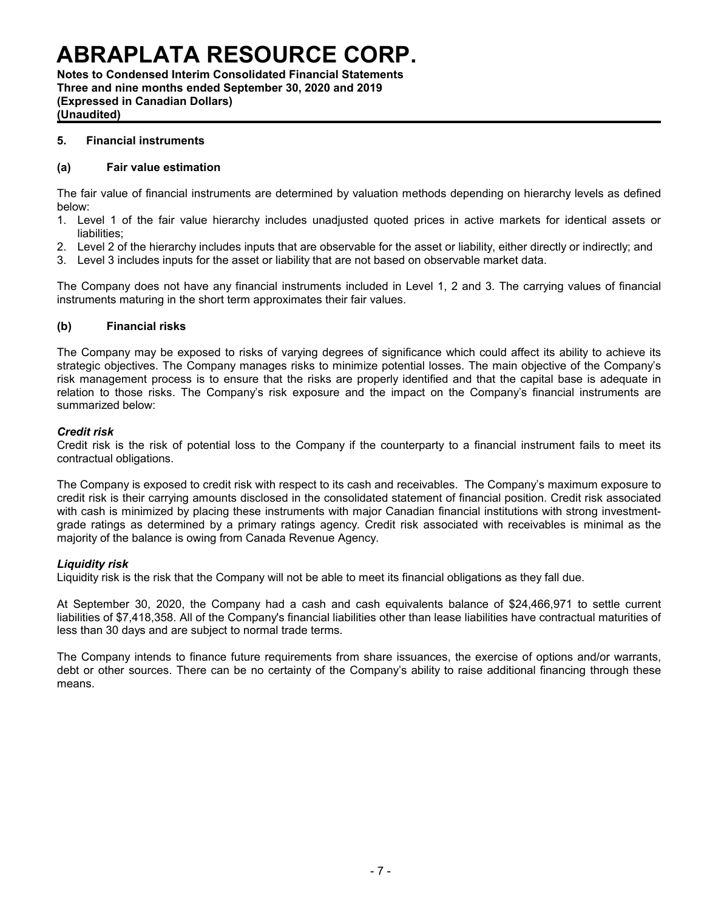**Notes to Condensed Interim Consolidated Financial Statements Three and nine months ended September 30, 2020 and 2019 (Expressed in Canadian Dollars) (Unaudited)**

### **5. Financial instruments**

#### **(a) Fair value estimation**

The fair value of financial instruments are determined by valuation methods depending on hierarchy levels as defined below:

- 1. Level 1 of the fair value hierarchy includes unadjusted quoted prices in active markets for identical assets or liabilities;
- 2. Level 2 of the hierarchy includes inputs that are observable for the asset or liability, either directly or indirectly; and
- 3. Level 3 includes inputs for the asset or liability that are not based on observable market data.

The Company does not have any financial instruments included in Level 1, 2 and 3. The carrying values of financial instruments maturing in the short term approximates their fair values.

### **(b) Financial risks**

The Company may be exposed to risks of varying degrees of significance which could affect its ability to achieve its strategic objectives. The Company manages risks to minimize potential losses. The main objective of the Company's risk management process is to ensure that the risks are properly identified and that the capital base is adequate in relation to those risks. The Company's risk exposure and the impact on the Company's financial instruments are summarized below:

#### *Credit risk*

Credit risk is the risk of potential loss to the Company if the counterparty to a financial instrument fails to meet its contractual obligations.

The Company is exposed to credit risk with respect to its cash and receivables. The Company's maximum exposure to credit risk is their carrying amounts disclosed in the consolidated statement of financial position. Credit risk associated with cash is minimized by placing these instruments with major Canadian financial institutions with strong investmentgrade ratings as determined by a primary ratings agency. Credit risk associated with receivables is minimal as the majority of the balance is owing from Canada Revenue Agency.

#### *Liquidity risk*

Liquidity risk is the risk that the Company will not be able to meet its financial obligations as they fall due.

At September 30, 2020, the Company had a cash and cash equivalents balance of \$24,466,971 to settle current liabilities of \$7,418,358. All of the Company's financial liabilities other than lease liabilities have contractual maturities of less than 30 days and are subject to normal trade terms.

The Company intends to finance future requirements from share issuances, the exercise of options and/or warrants, debt or other sources. There can be no certainty of the Company's ability to raise additional financing through these means.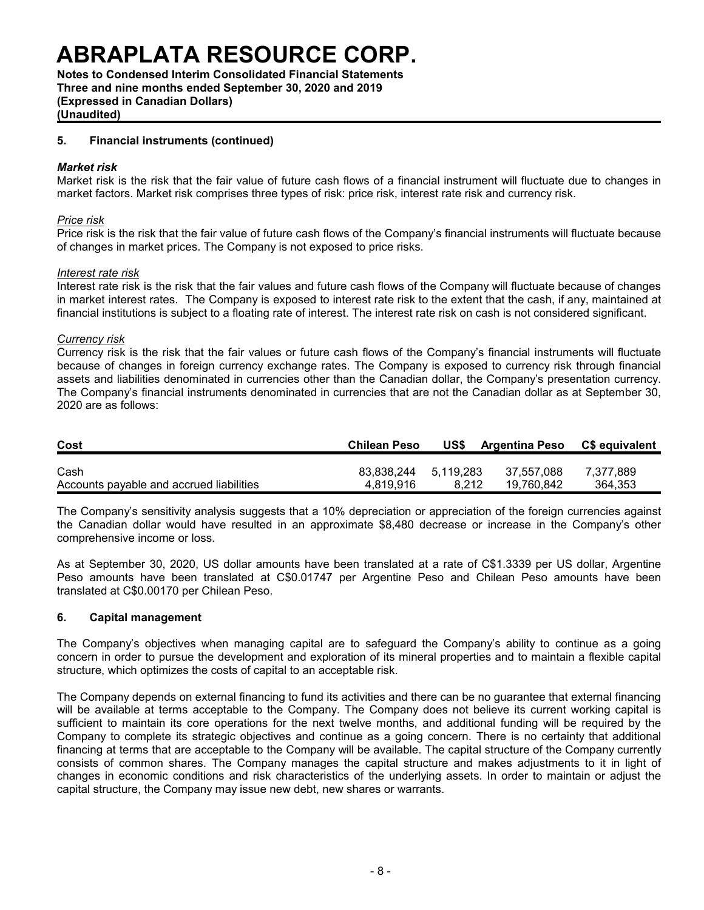**Notes to Condensed Interim Consolidated Financial Statements Three and nine months ended September 30, 2020 and 2019 (Expressed in Canadian Dollars)**

**(Unaudited)**

### **5. Financial instruments (continued)**

#### *Market risk*

Market risk is the risk that the fair value of future cash flows of a financial instrument will fluctuate due to changes in market factors. Market risk comprises three types of risk: price risk, interest rate risk and currency risk.

#### *Price risk*

Price risk is the risk that the fair value of future cash flows of the Company's financial instruments will fluctuate because of changes in market prices. The Company is not exposed to price risks.

#### *Interest rate risk*

Interest rate risk is the risk that the fair values and future cash flows of the Company will fluctuate because of changes in market interest rates. The Company is exposed to interest rate risk to the extent that the cash, if any, maintained at financial institutions is subject to a floating rate of interest. The interest rate risk on cash is not considered significant.

### *Currency risk*

Currency risk is the risk that the fair values or future cash flows of the Company's financial instruments will fluctuate because of changes in foreign currency exchange rates. The Company is exposed to currency risk through financial assets and liabilities denominated in currencies other than the Canadian dollar, the Company's presentation currency. The Company's financial instruments denominated in currencies that are not the Canadian dollar as at September 30, 2020 are as follows:

| Cost                                     | <b>Chilean Peso</b>  | US\$  | <b>Argentina Peso</b> | <b>CS equivalent</b> |
|------------------------------------------|----------------------|-------|-----------------------|----------------------|
| Cash                                     | 83,838,244 5,119,283 |       | 37,557,088            | 7.377.889            |
| Accounts payable and accrued liabilities | 4.819.916            | 8.212 | 19.760.842            | 364.353              |

The Company's sensitivity analysis suggests that a 10% depreciation or appreciation of the foreign currencies against the Canadian dollar would have resulted in an approximate \$8,480 decrease or increase in the Company's other comprehensive income or loss.

As at September 30, 2020, US dollar amounts have been translated at a rate of C\$1.3339 per US dollar, Argentine Peso amounts have been translated at C\$0.01747 per Argentine Peso and Chilean Peso amounts have been translated at C\$0.00170 per Chilean Peso.

#### **6. Capital management**

The Company's objectives when managing capital are to safeguard the Company's ability to continue as a going concern in order to pursue the development and exploration of its mineral properties and to maintain a flexible capital structure, which optimizes the costs of capital to an acceptable risk.

The Company depends on external financing to fund its activities and there can be no guarantee that external financing will be available at terms acceptable to the Company. The Company does not believe its current working capital is sufficient to maintain its core operations for the next twelve months, and additional funding will be required by the Company to complete its strategic objectives and continue as a going concern. There is no certainty that additional financing at terms that are acceptable to the Company will be available. The capital structure of the Company currently consists of common shares. The Company manages the capital structure and makes adjustments to it in light of changes in economic conditions and risk characteristics of the underlying assets. In order to maintain or adjust the capital structure, the Company may issue new debt, new shares or warrants.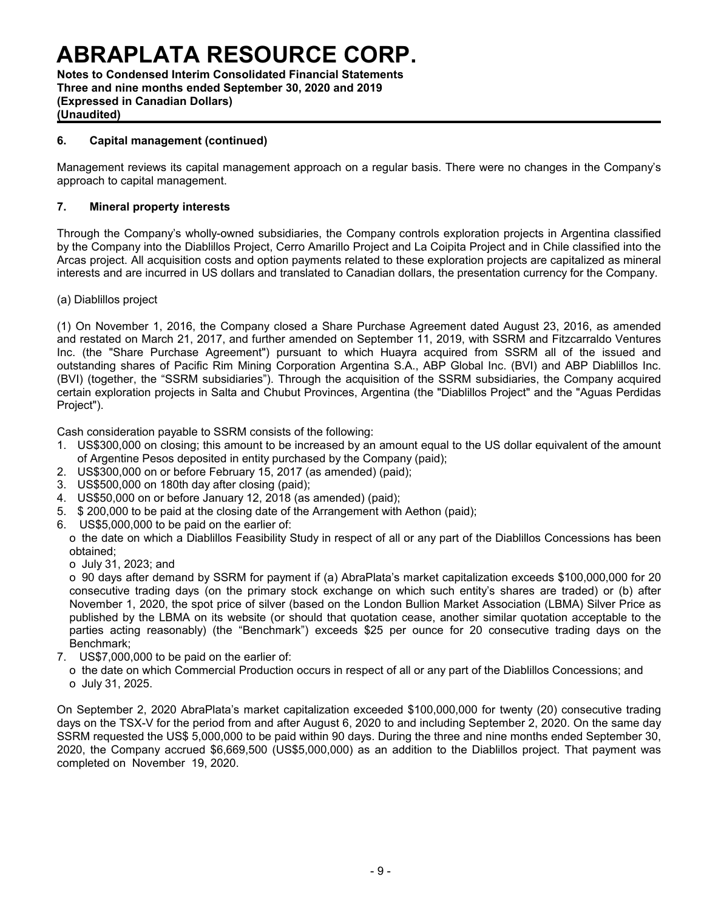**Notes to Condensed Interim Consolidated Financial Statements Three and nine months ended September 30, 2020 and 2019 (Expressed in Canadian Dollars) (Unaudited)**

# **6. Capital management (continued)**

Management reviews its capital management approach on a regular basis. There were no changes in the Company's approach to capital management.

# **7. Mineral property interests**

Through the Company's wholly-owned subsidiaries, the Company controls exploration projects in Argentina classified by the Company into the Diablillos Project, Cerro Amarillo Project and La Coipita Project and in Chile classified into the Arcas project. All acquisition costs and option payments related to these exploration projects are capitalized as mineral interests and are incurred in US dollars and translated to Canadian dollars, the presentation currency for the Company.

(a) Diablillos project

(1) On November 1, 2016, the Company closed a Share Purchase Agreement dated August 23, 2016, as amended and restated on March 21, 2017, and further amended on September 11, 2019, with SSRM and Fitzcarraldo Ventures Inc. (the "Share Purchase Agreement") pursuant to which Huayra acquired from SSRM all of the issued and outstanding shares of Pacific Rim Mining Corporation Argentina S.A., ABP Global Inc. (BVI) and ABP Diablillos Inc. (BVI) (together, the "SSRM subsidiaries"). Through the acquisition of the SSRM subsidiaries, the Company acquired certain exploration projects in Salta and Chubut Provinces, Argentina (the "Diablillos Project" and the "Aguas Perdidas Project").

Cash consideration payable to SSRM consists of the following:

- 1. US\$300,000 on closing; this amount to be increased by an amount equal to the US dollar equivalent of the amount of Argentine Pesos deposited in entity purchased by the Company (paid);
- 2. US\$300,000 on or before February 15, 2017 (as amended) (paid);
- 3. US\$500,000 on 180th day after closing (paid);
- 4. US\$50,000 on or before January 12, 2018 (as amended) (paid);
- 5. \$ 200,000 to be paid at the closing date of the Arrangement with Aethon (paid);
- 6. US\$5,000,000 to be paid on the earlier of:

o the date on which a Diablillos Feasibility Study in respect of all or any part of the Diablillos Concessions has been obtained;

o July 31, 2023; and

o 90 days after demand by SSRM for payment if (a) AbraPlata's market capitalization exceeds \$100,000,000 for 20 consecutive trading days (on the primary stock exchange on which such entity's shares are traded) or (b) after November 1, 2020, the spot price of silver (based on the London Bullion Market Association (LBMA) Silver Price as published by the LBMA on its website (or should that quotation cease, another similar quotation acceptable to the parties acting reasonably) (the "Benchmark") exceeds \$25 per ounce for 20 consecutive trading days on the Benchmark;

- 7. US\$7,000,000 to be paid on the earlier of:
	- o the date on which Commercial Production occurs in respect of all or any part of the Diablillos Concessions; and o July 31, 2025.

On September 2, 2020 AbraPlata's market capitalization exceeded \$100,000,000 for twenty (20) consecutive trading days on the TSX-V for the period from and after August 6, 2020 to and including September 2, 2020. On the same day SSRM requested the US\$ 5,000,000 to be paid within 90 days. During the three and nine months ended September 30, 2020, the Company accrued \$6,669,500 (US\$5,000,000) as an addition to the Diablillos project. That payment was completed on November19, 2020.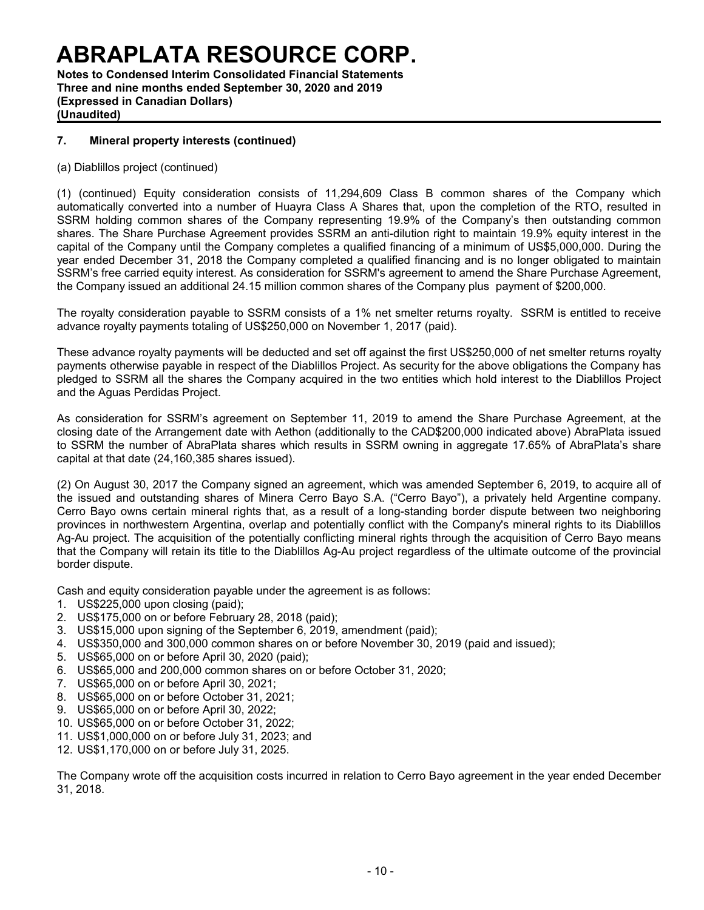**Notes to Condensed Interim Consolidated Financial Statements Three and nine months ended September 30, 2020 and 2019 (Expressed in Canadian Dollars) (Unaudited)**

# **7. Mineral property interests (continued)**

(a) Diablillos project (continued)

(1) (continued) Equity consideration consists of 11,294,609 Class B common shares of the Company which automatically converted into a number of Huayra Class A Shares that, upon the completion of the RTO, resulted in SSRM holding common shares of the Company representing 19.9% of the Company's then outstanding common shares. The Share Purchase Agreement provides SSRM an anti-dilution right to maintain 19.9% equity interest in the capital of the Company until the Company completes a qualified financing of a minimum of US\$5,000,000. During the year ended December 31, 2018 the Company completed a qualified financing and is no longer obligated to maintain SSRM's free carried equity interest. As consideration for SSRM's agreement to amend the Share Purchase Agreement, the Company issued an additional 24.15 million common shares of the Company plus payment of \$200,000.

The royalty consideration payable to SSRM consists of a 1% net smelter returns royalty. SSRM is entitled to receive advance royalty payments totaling of US\$250,000 on November 1, 2017 (paid).

These advance royalty payments will be deducted and set off against the first US\$250,000 of net smelter returns royalty payments otherwise payable in respect of the Diablillos Project. As security for the above obligations the Company has pledged to SSRM all the shares the Company acquired in the two entities which hold interest to the Diablillos Project and the Aguas Perdidas Project.

As consideration for SSRM's agreement on September 11, 2019 to amend the Share Purchase Agreement, at the closing date of the Arrangement date with Aethon (additionally to the CAD\$200,000 indicated above) AbraPlata issued to SSRM the number of AbraPlata shares which results in SSRM owning in aggregate 17.65% of AbraPlata's share capital at that date (24,160,385 shares issued).

(2) On August 30, 2017 the Company signed an agreement, which was amended September 6, 2019, to acquire all of the issued and outstanding shares of Minera Cerro Bayo S.A. ("Cerro Bayo"), a privately held Argentine company. Cerro Bayo owns certain mineral rights that, as a result of a long-standing border dispute between two neighboring provinces in northwestern Argentina, overlap and potentially conflict with the Company's mineral rights to its Diablillos Ag-Au project. The acquisition of the potentially conflicting mineral rights through the acquisition of Cerro Bayo means that the Company will retain its title to the Diablillos Ag-Au project regardless of the ultimate outcome of the provincial border dispute.

Cash and equity consideration payable under the agreement is as follows:

- 1. US\$225,000 upon closing (paid);
- 2. US\$175,000 on or before February 28, 2018 (paid);
- 3. US\$15,000 upon signing of the September 6, 2019, amendment (paid);
- 4. US\$350,000 and 300,000 common shares on or before November 30, 2019 (paid and issued);
- 5. US\$65,000 on or before April 30, 2020 (paid);
- 6. US\$65,000 and 200,000 common shares on or before October 31, 2020;
- 7. US\$65,000 on or before April 30, 2021;
- 8. US\$65,000 on or before October 31, 2021;
- 9. US\$65,000 on or before April 30, 2022;
- 10. US\$65,000 on or before October 31, 2022;
- 11. US\$1,000,000 on or before July 31, 2023; and
- 12. US\$1,170,000 on or before July 31, 2025.

The Company wrote off the acquisition costs incurred in relation to Cerro Bayo agreement in the year ended December 31, 2018.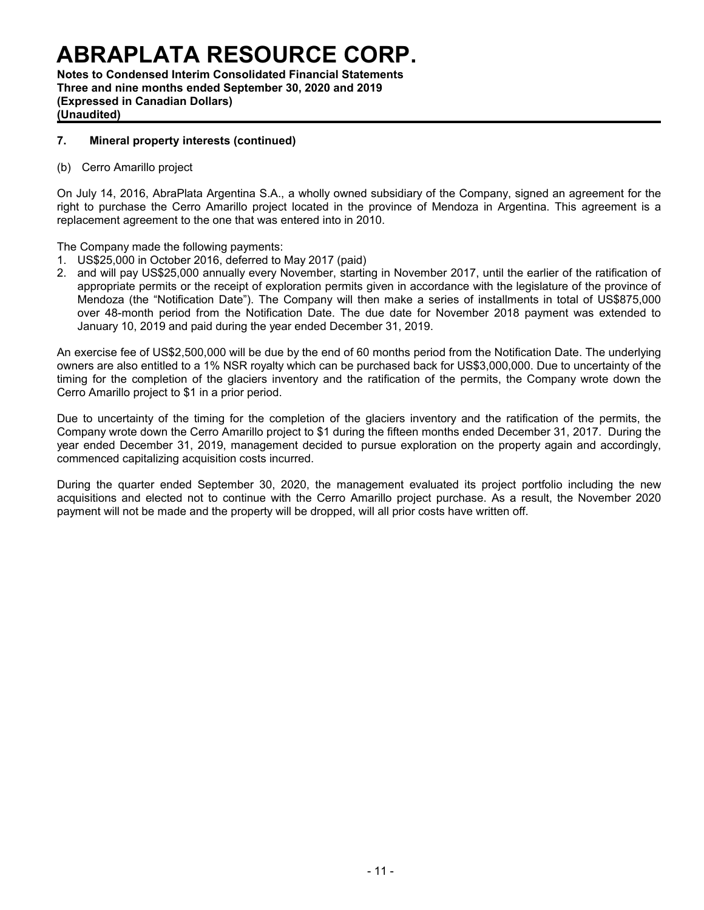**Notes to Condensed Interim Consolidated Financial Statements Three and nine months ended September 30, 2020 and 2019 (Expressed in Canadian Dollars) (Unaudited)**

### **7. Mineral property interests (continued)**

(b) Cerro Amarillo project

On July 14, 2016, AbraPlata Argentina S.A., a wholly owned subsidiary of the Company, signed an agreement for the right to purchase the Cerro Amarillo project located in the province of Mendoza in Argentina. This agreement is a replacement agreement to the one that was entered into in 2010.

### The Company made the following payments:

- 1. US\$25,000 in October 2016, deferred to May 2017 (paid)
- 2. and will pay US\$25,000 annually every November, starting in November 2017, until the earlier of the ratification of appropriate permits or the receipt of exploration permits given in accordance with the legislature of the province of Mendoza (the "Notification Date"). The Company will then make a series of installments in total of US\$875,000 over 48-month period from the Notification Date. The due date for November 2018 payment was extended to January 10, 2019 and paid during the year ended December 31, 2019.

An exercise fee of US\$2,500,000 will be due by the end of 60 months period from the Notification Date. The underlying owners are also entitled to a 1% NSR royalty which can be purchased back for US\$3,000,000. Due to uncertainty of the timing for the completion of the glaciers inventory and the ratification of the permits, the Company wrote down the Cerro Amarillo project to \$1 in a prior period.

Due to uncertainty of the timing for the completion of the glaciers inventory and the ratification of the permits, the Company wrote down the Cerro Amarillo project to \$1 during the fifteen months ended December 31, 2017. During the year ended December 31, 2019, management decided to pursue exploration on the property again and accordingly, commenced capitalizing acquisition costs incurred.

During the quarter ended September 30, 2020, the management evaluated its project portfolio including the new acquisitions and elected not to continue with the Cerro Amarillo project purchase. As a result, the November 2020 payment will not be made and the property will be dropped, will all prior costs have written off.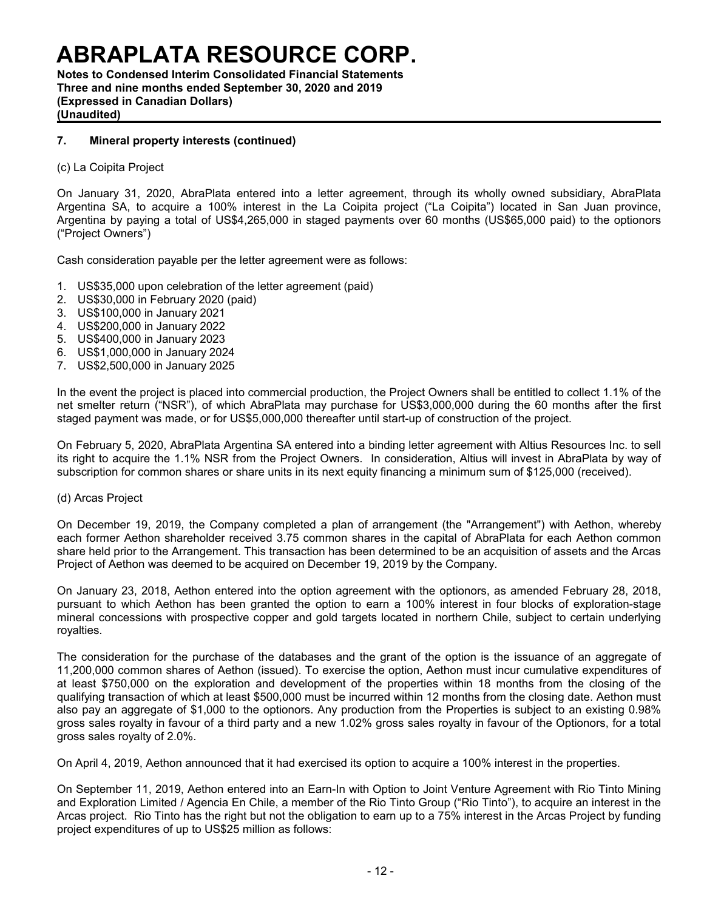**Notes to Condensed Interim Consolidated Financial Statements Three and nine months ended September 30, 2020 and 2019 (Expressed in Canadian Dollars) (Unaudited)**

# **7. Mineral property interests (continued)**

(c) La Coipita Project

On January 31, 2020, AbraPlata entered into a letter agreement, through its wholly owned subsidiary, AbraPlata Argentina SA, to acquire a 100% interest in the La Coipita project ("La Coipita") located in San Juan province, Argentina by paying a total of US\$4,265,000 in staged payments over 60 months (US\$65,000 paid) to the optionors ("Project Owners")

Cash consideration payable per the letter agreement were as follows:

- 1. US\$35,000 upon celebration of the letter agreement (paid)
- 2. US\$30,000 in February 2020 (paid)
- 3. US\$100,000 in January 2021
- 4. US\$200,000 in January 2022
- 5. US\$400,000 in January 2023
- 6. US\$1,000,000 in January 2024
- 7. US\$2,500,000 in January 2025

In the event the project is placed into commercial production, the Project Owners shall be entitled to collect 1.1% of the net smelter return ("NSR"), of which AbraPlata may purchase for US\$3,000,000 during the 60 months after the first staged payment was made, or for US\$5,000,000 thereafter until start-up of construction of the project.

On February 5, 2020, AbraPlata Argentina SA entered into a binding letter agreement with Altius Resources Inc. to sell its right to acquire the 1.1% NSR from the Project Owners. In consideration, Altius will invest in AbraPlata by way of subscription for common shares or share units in its next equity financing a minimum sum of \$125,000 (received).

#### (d) Arcas Project

On December 19, 2019, the Company completed a plan of arrangement (the "Arrangement") with Aethon, whereby each former Aethon shareholder received 3.75 common shares in the capital of AbraPlata for each Aethon common share held prior to the Arrangement. This transaction has been determined to be an acquisition of assets and the Arcas Project of Aethon was deemed to be acquired on December 19, 2019 by the Company.

On January 23, 2018, Aethon entered into the option agreement with the optionors, as amended February 28, 2018, pursuant to which Aethon has been granted the option to earn a 100% interest in four blocks of exploration-stage mineral concessions with prospective copper and gold targets located in northern Chile, subject to certain underlying royalties.

The consideration for the purchase of the databases and the grant of the option is the issuance of an aggregate of 11,200,000 common shares of Aethon (issued). To exercise the option, Aethon must incur cumulative expenditures of at least \$750,000 on the exploration and development of the properties within 18 months from the closing of the qualifying transaction of which at least \$500,000 must be incurred within 12 months from the closing date. Aethon must also pay an aggregate of \$1,000 to the optionors. Any production from the Properties is subject to an existing 0.98% gross sales royalty in favour of a third party and a new 1.02% gross sales royalty in favour of the Optionors, for a total gross sales royalty of 2.0%.

On April 4, 2019, Aethon announced that it had exercised its option to acquire a 100% interest in the properties.

On September 11, 2019, Aethon entered into an Earn-In with Option to Joint Venture Agreement with Rio Tinto Mining and Exploration Limited / Agencia En Chile, a member of the Rio Tinto Group ("Rio Tinto"), to acquire an interest in the Arcas project. Rio Tinto has the right but not the obligation to earn up to a 75% interest in the Arcas Project by funding project expenditures of up to US\$25 million as follows: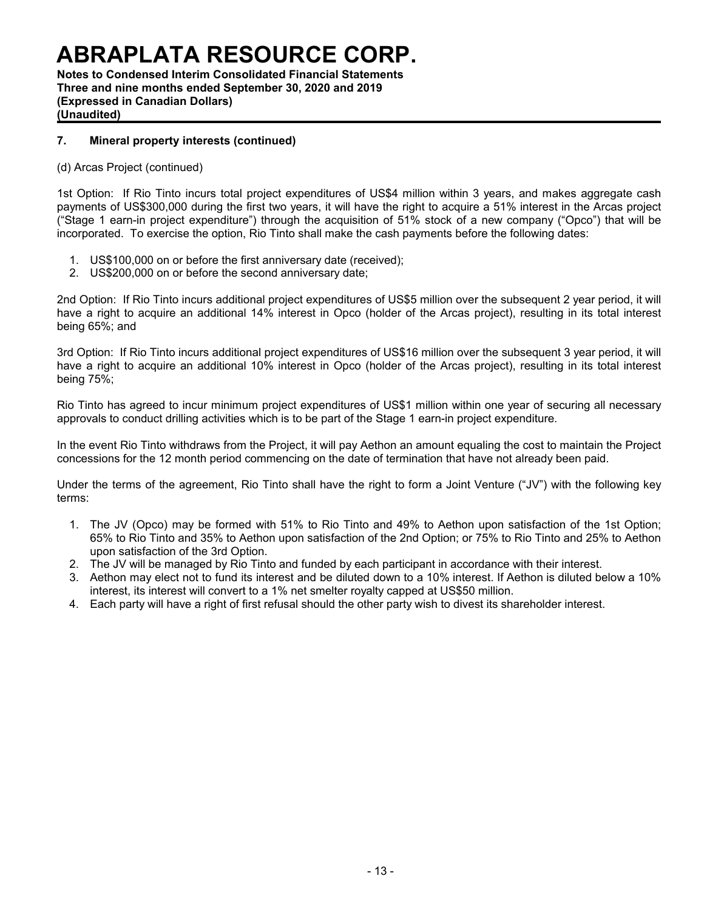**Notes to Condensed Interim Consolidated Financial Statements Three and nine months ended September 30, 2020 and 2019 (Expressed in Canadian Dollars) (Unaudited)**

# **7. Mineral property interests (continued)**

### (d) Arcas Project (continued)

1st Option: If Rio Tinto incurs total project expenditures of US\$4 million within 3 years, and makes aggregate cash payments of US\$300,000 during the first two years, it will have the right to acquire a 51% interest in the Arcas project ("Stage 1 earn-in project expenditure") through the acquisition of 51% stock of a new company ("Opco") that will be incorporated. To exercise the option, Rio Tinto shall make the cash payments before the following dates:

- 1. US\$100,000 on or before the first anniversary date (received);
- 2. US\$200,000 on or before the second anniversary date;

2nd Option: If Rio Tinto incurs additional project expenditures of US\$5 million over the subsequent 2 year period, it will have a right to acquire an additional 14% interest in Opco (holder of the Arcas project), resulting in its total interest being 65%; and

3rd Option: If Rio Tinto incurs additional project expenditures of US\$16 million over the subsequent 3 year period, it will have a right to acquire an additional 10% interest in Opco (holder of the Arcas project), resulting in its total interest being 75%;

Rio Tinto has agreed to incur minimum project expenditures of US\$1 million within one year of securing all necessary approvals to conduct drilling activities which is to be part of the Stage 1 earn-in project expenditure.

In the event Rio Tinto withdraws from the Project, it will pay Aethon an amount equaling the cost to maintain the Project concessions for the 12 month period commencing on the date of termination that have not already been paid.

Under the terms of the agreement, Rio Tinto shall have the right to form a Joint Venture ("JV") with the following key terms:

- 1. The JV (Opco) may be formed with 51% to Rio Tinto and 49% to Aethon upon satisfaction of the 1st Option; 65% to Rio Tinto and 35% to Aethon upon satisfaction of the 2nd Option; or 75% to Rio Tinto and 25% to Aethon upon satisfaction of the 3rd Option.
- 2. The JV will be managed by Rio Tinto and funded by each participant in accordance with their interest.
- 3. Aethon may elect not to fund its interest and be diluted down to a 10% interest. If Aethon is diluted below a 10% interest, its interest will convert to a 1% net smelter royalty capped at US\$50 million.
- 4. Each party will have a right of first refusal should the other party wish to divest its shareholder interest.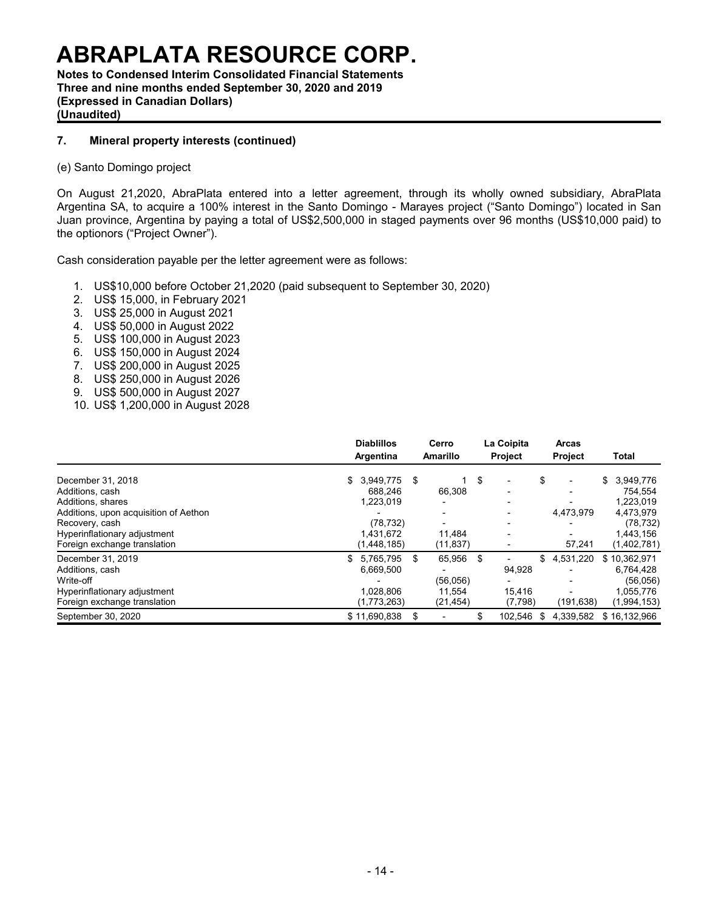**Notes to Condensed Interim Consolidated Financial Statements Three and nine months ended September 30, 2020 and 2019 (Expressed in Canadian Dollars) (Unaudited)**

# **7. Mineral property interests (continued)**

#### (e) Santo Domingo project

On August 21,2020, AbraPlata entered into a letter agreement, through its wholly owned subsidiary, AbraPlata Argentina SA, to acquire a 100% interest in the Santo Domingo - Marayes project ("Santo Domingo") located in San Juan province, Argentina by paying a total of US\$2,500,000 in staged payments over 96 months (US\$10,000 paid) to the optionors ("Project Owner").

Cash consideration payable per the letter agreement were as follows:

- 1. US\$10,000 before October 21,2020 (paid subsequent to September 30, 2020)
- 2. US\$ 15,000, in February 2021
- 3. US\$ 25,000 in August 2021
- 4. US\$ 50,000 in August 2022
- 5. US\$ 100,000 in August 2023
- 6. US\$ 150,000 in August 2024
- 7. US\$ 200,000 in August 2025
- 8. US\$ 250,000 in August 2026
- 9. US\$ 500,000 in August 2027
- 10. US\$ 1,200,000 in August 2028

|                                       | <b>Diablillos</b><br>Argentina | Cerro<br><b>Amarillo</b>       |      | La Coipita<br><b>Project</b> |    | <b>Arcas</b><br><b>Project</b> | Total        |             |
|---------------------------------------|--------------------------------|--------------------------------|------|------------------------------|----|--------------------------------|--------------|-------------|
|                                       |                                |                                |      |                              |    |                                |              |             |
| December 31, 2018                     | 3,949,775<br>\$                | \$                             | \$   | $\overline{\phantom{0}}$     | \$ | -                              | \$           | 3,949,776   |
| Additions, cash                       | 688.246                        | 66,308                         |      | $\overline{\phantom{0}}$     |    | $\overline{\phantom{0}}$       |              | 754.554     |
| Additions, shares                     | 1,223,019                      |                                |      |                              |    |                                |              | 1,223,019   |
| Additions, upon acquisition of Aethon |                                |                                |      |                              |    | 4.473.979                      |              | 4,473,979   |
| Recovery, cash                        | (78, 732)                      |                                |      |                              |    | $\overline{\phantom{0}}$       |              | (78, 732)   |
| Hyperinflationary adjustment          | 1.431.672                      | 11,484                         |      |                              |    |                                |              | 1,443,156   |
| Foreign exchange translation          | (1,448,185)                    | (11, 837)                      |      |                              |    | 57,241                         |              | (1,402,781) |
| December 31, 2019                     | 5,765,795<br>\$                | \$<br>65,956                   | - \$ |                              | \$ | 4,531,220                      | \$10,362,971 |             |
| Additions, cash                       | 6,669,500                      |                                |      | 94,928                       |    |                                |              | 6,764,428   |
| Write-off                             |                                | (56,056)                       |      |                              |    | $\overline{\phantom{0}}$       |              | (56,056)    |
| Hyperinflationary adjustment          | 1.028.806                      | 11.554                         |      | 15.416                       |    |                                |              | 1,055,776   |
| Foreign exchange translation          | (1,773,263)                    | (21, 454)                      |      | (7,798)                      |    | (191, 638)                     |              | (1,994,153) |
| September 30, 2020                    | \$11,690,838                   | \$<br>$\overline{\phantom{0}}$ | \$   | 102.546                      | S  | 4.339.582                      | \$16.132.966 |             |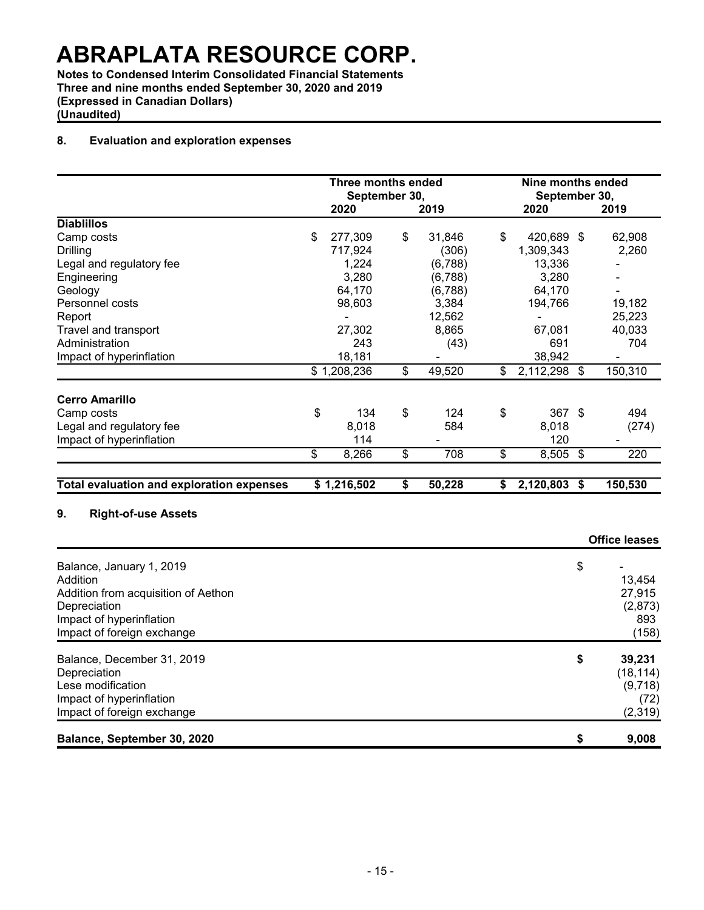**Notes to Condensed Interim Consolidated Financial Statements Three and nine months ended September 30, 2020 and 2019 (Expressed in Canadian Dollars) (Unaudited)**

### **8. Evaluation and exploration expenses**

|                                                  | <b>Three months ended</b><br>September 30, |             |                         | Nine months ended<br>September 30, |                    |                      |
|--------------------------------------------------|--------------------------------------------|-------------|-------------------------|------------------------------------|--------------------|----------------------|
|                                                  |                                            | 2020        |                         | 2019                               | 2020               | 2019                 |
| <b>Diablillos</b>                                |                                            |             |                         |                                    |                    |                      |
| Camp costs                                       | \$                                         | 277,309     | \$                      | 31,846                             | \$<br>420,689 \$   | 62,908               |
| <b>Drilling</b>                                  |                                            | 717,924     |                         | (306)                              | 1,309,343          | 2,260                |
| Legal and regulatory fee                         |                                            | 1,224       |                         | (6, 788)                           | 13,336             |                      |
| Engineering                                      |                                            | 3,280       |                         | (6,788)                            | 3,280              |                      |
| Geology                                          |                                            | 64,170      |                         | (6,788)                            | 64,170             |                      |
| Personnel costs                                  |                                            | 98,603      |                         | 3,384                              | 194,766            | 19,182               |
| Report                                           |                                            |             |                         | 12,562                             |                    | 25,223               |
| Travel and transport                             |                                            | 27,302      |                         | 8,865                              | 67,081             | 40,033               |
| Administration                                   |                                            | 243         |                         | (43)                               | 691                | 704                  |
| Impact of hyperinflation                         |                                            | 18,181      |                         |                                    | 38,942             |                      |
|                                                  |                                            | \$1,208,236 | \$                      | 49,520                             | \$<br>2,112,298 \$ | 150,310              |
| <b>Cerro Amarillo</b>                            |                                            |             |                         |                                    |                    |                      |
| Camp costs                                       | \$                                         | 134         | \$                      | 124                                | \$<br>367 \$       | 494                  |
| Legal and regulatory fee                         |                                            | 8,018       |                         | 584                                | 8,018              | (274)                |
| Impact of hyperinflation                         |                                            | 114         |                         |                                    | 120                |                      |
|                                                  | \$                                         | 8,266       | $\overline{\mathbb{S}}$ | 708                                | \$<br>$8,505$ \$   | 220                  |
|                                                  |                                            |             |                         |                                    |                    |                      |
| <b>Total evaluation and exploration expenses</b> |                                            | \$1,216,502 | \$                      | 50,228                             | \$<br>2,120,803 \$ | 150,530              |
| <b>Right-of-use Assets</b><br>9.                 |                                            |             |                         |                                    |                    |                      |
|                                                  |                                            |             |                         |                                    |                    | <b>Office leases</b> |
| Balance, January 1, 2019                         |                                            |             |                         |                                    |                    | \$                   |
| Addition                                         |                                            |             |                         |                                    |                    | 13,454               |
| Addition from acquisition of Aethon              |                                            |             |                         |                                    |                    | 27,915               |
| Depreciation                                     |                                            |             |                         |                                    |                    | (2,873)              |

| Impact of hyperinflation<br>Impact of foreign exchange | 893<br>(158) |
|--------------------------------------------------------|--------------|
| Balance, December 31, 2019                             | \$<br>39,231 |
| Depreciation                                           | (18, 114)    |
| Lese modification                                      | (9,718)      |
| Impact of hyperinflation                               | (72)         |
| Impact of foreign exchange                             | (2,319)      |
| Balance, September 30, 2020                            | 9.008        |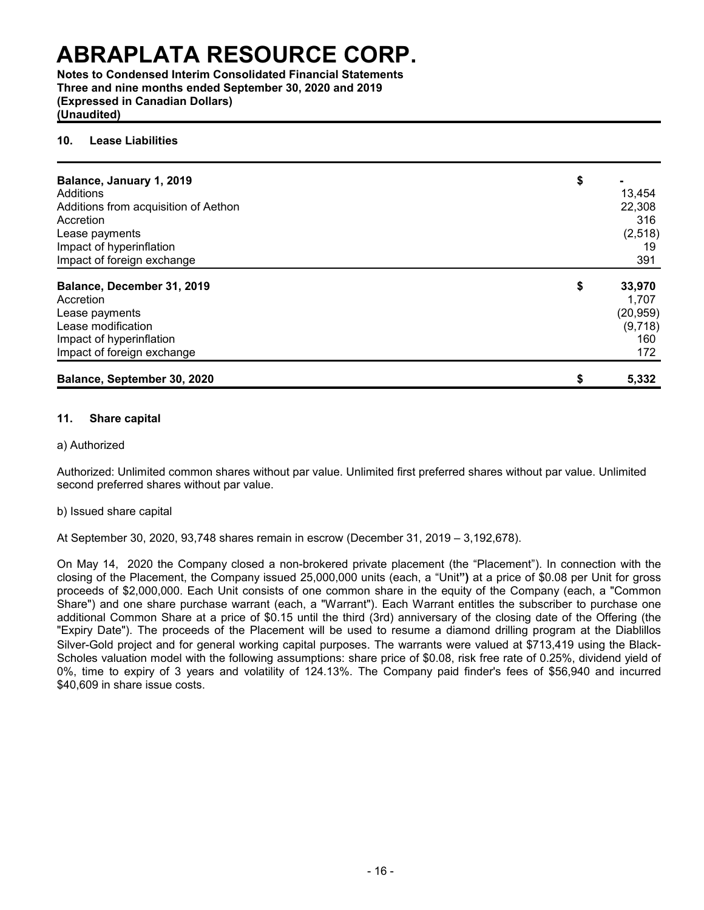**Notes to Condensed Interim Consolidated Financial Statements Three and nine months ended September 30, 2020 and 2019 (Expressed in Canadian Dollars) (Unaudited)**

#### **10. Lease Liabilities**

| Balance, January 1, 2019<br>Additions<br>Additions from acquisition of Aethon<br>Accretion<br>Lease payments<br>Impact of hyperinflation<br>Impact of foreign exchange | \$ | 13,454<br>22,308<br>316<br>(2, 518)<br>19<br>391      |
|------------------------------------------------------------------------------------------------------------------------------------------------------------------------|----|-------------------------------------------------------|
| Balance, December 31, 2019<br>Accretion<br>Lease payments<br>Lease modification<br>Impact of hyperinflation<br>Impact of foreign exchange                              | \$ | 33,970<br>1,707<br>(20, 959)<br>(9,718)<br>160<br>172 |
| Balance, September 30, 2020                                                                                                                                            | S  | 5,332                                                 |

#### **11. Share capital**

### a) Authorized

Authorized: Unlimited common shares without par value. Unlimited first preferred shares without par value. Unlimited second preferred shares without par value.

#### b) Issued share capital

At September 30, 2020, 93,748 shares remain in escrow (December 31, 2019 – 3,192,678).

On May 14, 2020 the Company closed a non-brokered private placement (the "Placement"). In connection with the closing of the Placement, the Company issued 25,000,000 units (each, a "Unit**")** at a price of \$0.08 per Unit for gross proceeds of \$2,000,000. Each Unit consists of one common share in the equity of the Company (each, a "Common Share") and one share purchase warrant (each, a "Warrant"). Each Warrant entitles the subscriber to purchase one additional Common Share at a price of \$0.15 until the third (3rd) anniversary of the closing date of the Offering (the "Expiry Date"). The proceeds of the Placement will be used to resume a diamond drilling program at the Diablillos Silver-Gold project and for general working capital purposes. The warrants were valued at \$713,419 using the Black-Scholes valuation model with the following assumptions: share price of \$0.08, risk free rate of 0.25%, dividend yield of 0%, time to expiry of 3 years and volatility of 124.13%. The Company paid finder's fees of \$56,940 and incurred \$40,609 in share issue costs.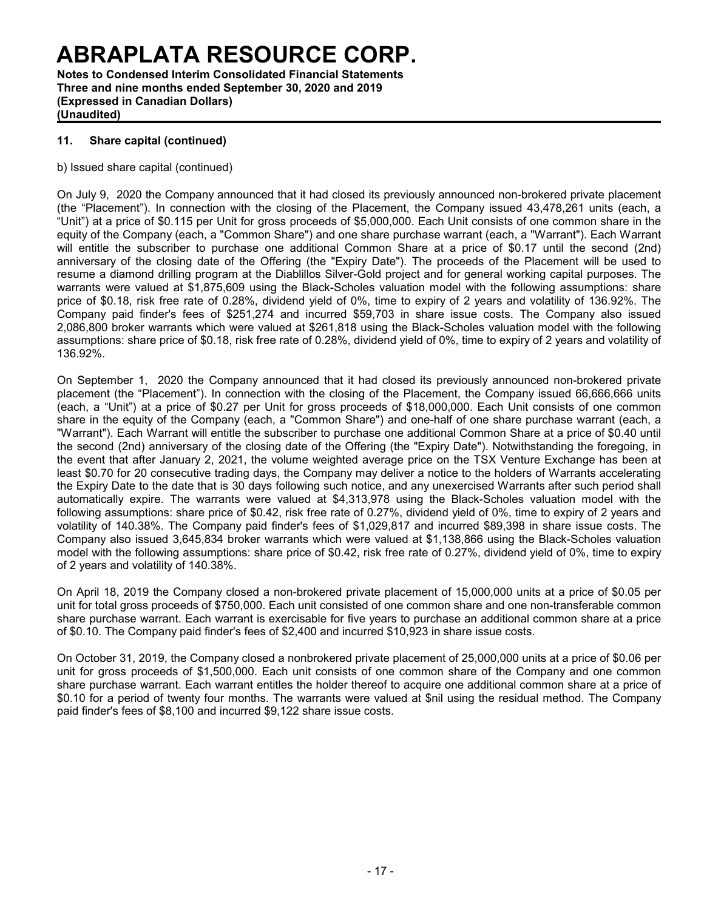**Notes to Condensed Interim Consolidated Financial Statements Three and nine months ended September 30, 2020 and 2019 (Expressed in Canadian Dollars) (Unaudited)**

# **11. Share capital (continued)**

b) Issued share capital (continued)

On July 9, 2020 the Company announced that it had closed its previously announced non-brokered private placement (the "Placement"). In connection with the closing of the Placement, the Company issued 43,478,261 units (each, a "Unit") at a price of \$0.115 per Unit for gross proceeds of \$5,000,000. Each Unit consists of one common share in the equity of the Company (each, a "Common Share") and one share purchase warrant (each, a "Warrant"). Each Warrant will entitle the subscriber to purchase one additional Common Share at a price of \$0.17 until the second (2nd) anniversary of the closing date of the Offering (the "Expiry Date"). The proceeds of the Placement will be used to resume a diamond drilling program at the Diablillos Silver-Gold project and for general working capital purposes. The warrants were valued at \$1,875,609 using the Black-Scholes valuation model with the following assumptions: share price of \$0.18, risk free rate of 0.28%, dividend yield of 0%, time to expiry of 2 years and volatility of 136.92%. The Company paid finder's fees of \$251,274 and incurred \$59,703 in share issue costs. The Company also issued 2,086,800 broker warrants which were valued at \$261,818 using the Black-Scholes valuation model with the following assumptions: share price of \$0.18, risk free rate of 0.28%, dividend yield of 0%, time to expiry of 2 years and volatility of 136.92%.

On September 1, 2020 the Company announced that it had closed its previously announced non-brokered private placement (the "Placement"). In connection with the closing of the Placement, the Company issued 66,666,666 units (each, a "Unit") at a price of \$0.27 per Unit for gross proceeds of \$18,000,000. Each Unit consists of one common share in the equity of the Company (each, a "Common Share") and one-half of one share purchase warrant (each, a "Warrant"). Each Warrant will entitle the subscriber to purchase one additional Common Share at a price of \$0.40 until the second (2nd) anniversary of the closing date of the Offering (the "Expiry Date"). Notwithstanding the foregoing, in the event that after January 2, 2021, the volume weighted average price on the TSX Venture Exchange has been at least \$0.70 for 20 consecutive trading days, the Company may deliver a notice to the holders of Warrants accelerating the Expiry Date to the date that is 30 days following such notice, and any unexercised Warrants after such period shall automatically expire. The warrants were valued at \$4,313,978 using the Black-Scholes valuation model with the following assumptions: share price of \$0.42, risk free rate of 0.27%, dividend yield of 0%, time to expiry of 2 years and volatility of 140.38%. The Company paid finder's fees of \$1,029,817 and incurred \$89,398 in share issue costs. The Company also issued 3,645,834 broker warrants which were valued at \$1,138,866 using the Black-Scholes valuation model with the following assumptions: share price of \$0.42, risk free rate of 0.27%, dividend yield of 0%, time to expiry of 2 years and volatility of 140.38%.

On April 18, 2019 the Company closed a non-brokered private placement of 15,000,000 units at a price of \$0.05 per unit for total gross proceeds of \$750,000. Each unit consisted of one common share and one non-transferable common share purchase warrant. Each warrant is exercisable for five years to purchase an additional common share at a price of \$0.10. The Company paid finder's fees of \$2,400 and incurred \$10,923 in share issue costs.

On October 31, 2019, the Company closed a nonbrokered private placement of 25,000,000 units at a price of \$0.06 per unit for gross proceeds of \$1,500,000. Each unit consists of one common share of the Company and one common share purchase warrant. Each warrant entitles the holder thereof to acquire one additional common share at a price of \$0.10 for a period of twenty four months. The warrants were valued at \$nil using the residual method. The Company paid finder's fees of \$8,100 and incurred \$9,122 share issue costs.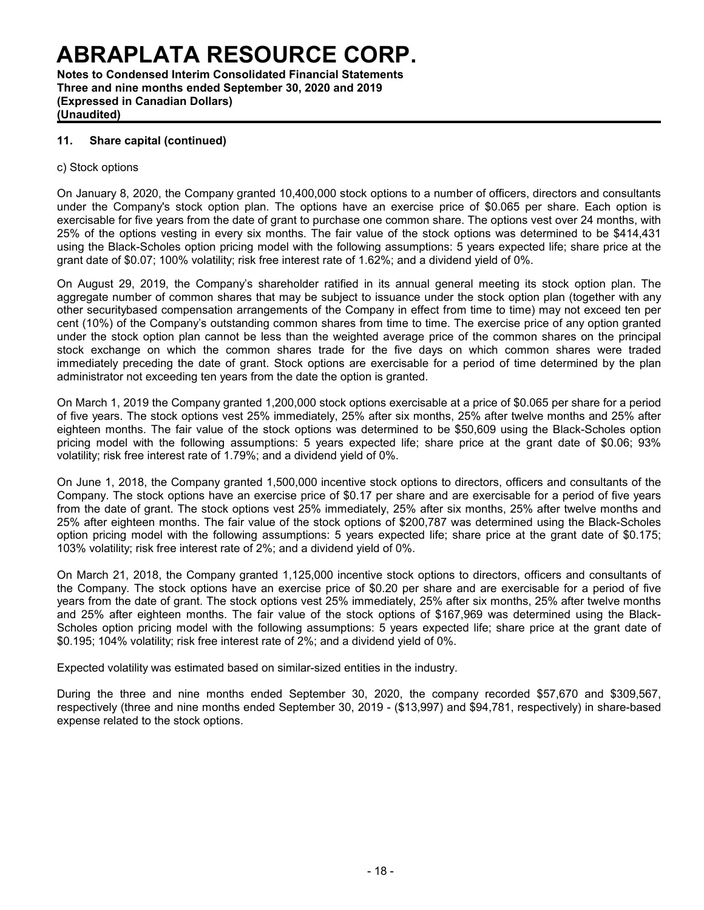**Notes to Condensed Interim Consolidated Financial Statements Three and nine months ended September 30, 2020 and 2019 (Expressed in Canadian Dollars) (Unaudited)**

### **11. Share capital (continued)**

#### c) Stock options

On January 8, 2020, the Company granted 10,400,000 stock options to a number of officers, directors and consultants under the Company's stock option plan. The options have an exercise price of \$0.065 per share. Each option is exercisable for five years from the date of grant to purchase one common share. The options vest over 24 months, with 25% of the options vesting in every six months. The fair value of the stock options was determined to be \$414,431 using the Black-Scholes option pricing model with the following assumptions: 5 years expected life; share price at the grant date of \$0.07; 100% volatility; risk free interest rate of 1.62%; and a dividend yield of 0%.

On August 29, 2019, the Company's shareholder ratified in its annual general meeting its stock option plan. The aggregate number of common shares that may be subject to issuance under the stock option plan (together with any other securitybased compensation arrangements of the Company in effect from time to time) may not exceed ten per cent (10%) of the Company's outstanding common shares from time to time. The exercise price of any option granted under the stock option plan cannot be less than the weighted average price of the common shares on the principal stock exchange on which the common shares trade for the five days on which common shares were traded immediately preceding the date of grant. Stock options are exercisable for a period of time determined by the plan administrator not exceeding ten years from the date the option is granted.

On March 1, 2019 the Company granted 1,200,000 stock options exercisable at a price of \$0.065 per share for a period of five years. The stock options vest 25% immediately, 25% after six months, 25% after twelve months and 25% after eighteen months. The fair value of the stock options was determined to be \$50,609 using the Black-Scholes option pricing model with the following assumptions: 5 years expected life; share price at the grant date of \$0.06; 93% volatility; risk free interest rate of 1.79%; and a dividend yield of 0%.

On June 1, 2018, the Company granted 1,500,000 incentive stock options to directors, officers and consultants of the Company. The stock options have an exercise price of \$0.17 per share and are exercisable for a period of five years from the date of grant. The stock options vest 25% immediately, 25% after six months, 25% after twelve months and 25% after eighteen months. The fair value of the stock options of \$200,787 was determined using the Black-Scholes option pricing model with the following assumptions: 5 years expected life; share price at the grant date of \$0.175; 103% volatility; risk free interest rate of 2%; and a dividend yield of 0%.

On March 21, 2018, the Company granted 1,125,000 incentive stock options to directors, officers and consultants of the Company. The stock options have an exercise price of \$0.20 per share and are exercisable for a period of five years from the date of grant. The stock options vest 25% immediately, 25% after six months, 25% after twelve months and 25% after eighteen months. The fair value of the stock options of \$167,969 was determined using the Black-Scholes option pricing model with the following assumptions: 5 years expected life; share price at the grant date of \$0.195; 104% volatility; risk free interest rate of 2%; and a dividend yield of 0%.

Expected volatility was estimated based on similar-sized entities in the industry.

During the three and nine months ended September 30, 2020, the company recorded \$57,670 and \$309,567, respectively (three and nine months ended September 30, 2019 - (\$13,997) and \$94,781, respectively) in share-based expense related to the stock options.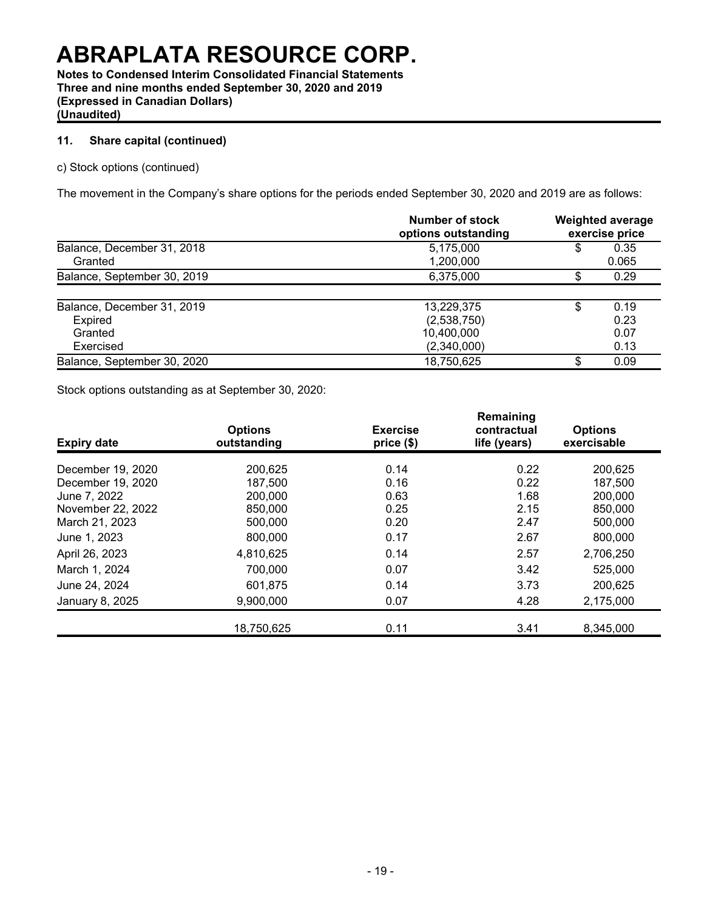**Notes to Condensed Interim Consolidated Financial Statements Three and nine months ended September 30, 2020 and 2019 (Expressed in Canadian Dollars) (Unaudited)**

# **11. Share capital (continued)**

c) Stock options (continued)

The movement in the Company's share options for the periods ended September 30, 2020 and 2019 are as follows:

|                             | Number of stock<br>options outstanding | <b>Weighted average</b><br>exercise price |       |  |
|-----------------------------|----------------------------------------|-------------------------------------------|-------|--|
| Balance, December 31, 2018  | 5,175,000                              | \$                                        | 0.35  |  |
| Granted                     | 1,200,000                              |                                           | 0.065 |  |
| Balance, September 30, 2019 | 6,375,000                              | Φ                                         | 0.29  |  |
|                             |                                        |                                           |       |  |
| Balance, December 31, 2019  | 13,229,375                             | \$                                        | 0.19  |  |
| <b>Expired</b>              | (2,538,750)                            |                                           | 0.23  |  |
| Granted                     | 10,400,000                             |                                           | 0.07  |  |
| Exercised                   | (2,340,000)                            |                                           | 0.13  |  |
| Balance, September 30, 2020 | 18,750,625                             | S                                         | 0.09  |  |

Stock options outstanding as at September 30, 2020:

| <b>Expiry date</b> | <b>Options</b><br>outstanding | <b>Exercise</b><br>price (\$) | Remaining<br>contractual<br>life (years) | <b>Options</b><br>exercisable |
|--------------------|-------------------------------|-------------------------------|------------------------------------------|-------------------------------|
| December 19, 2020  | 200,625                       | 0.14                          | 0.22                                     | 200,625                       |
| December 19, 2020  | 187,500                       | 0.16                          | 0.22                                     | 187,500                       |
| June 7, 2022       | 200,000                       | 0.63                          | 1.68                                     | 200,000                       |
| November 22, 2022  | 850,000                       | 0.25                          | 2.15                                     | 850,000                       |
| March 21, 2023     | 500,000                       | 0.20                          | 2.47                                     | 500,000                       |
| June 1, 2023       | 800,000                       | 0.17                          | 2.67                                     | 800,000                       |
| April 26, 2023     | 4,810,625                     | 0.14                          | 2.57                                     | 2,706,250                     |
| March 1, 2024      | 700,000                       | 0.07                          | 3.42                                     | 525,000                       |
| June 24, 2024      | 601,875                       | 0.14                          | 3.73                                     | 200,625                       |
| January 8, 2025    | 9,900,000                     | 0.07                          | 4.28                                     | 2,175,000                     |
|                    | 18,750,625                    | 0.11                          | 3.41                                     | 8,345,000                     |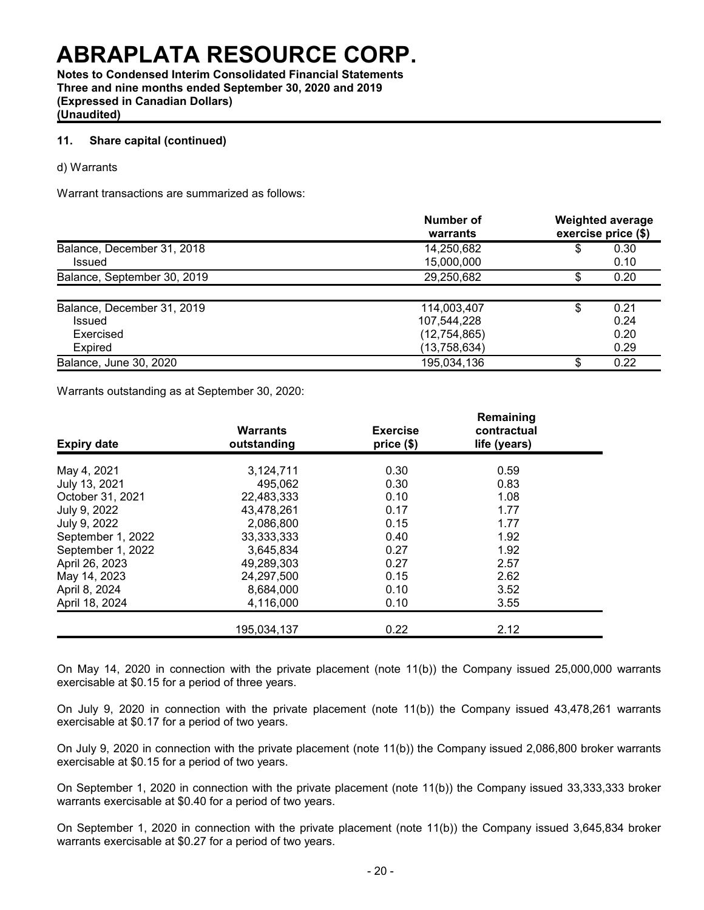**Notes to Condensed Interim Consolidated Financial Statements Three and nine months ended September 30, 2020 and 2019 (Expressed in Canadian Dollars) (Unaudited)**

### **11. Share capital (continued)**

d) Warrants

Warrant transactions are summarized as follows:

|                             | Number of<br>warrants |    | <b>Weighted average</b><br>exercise price (\$) |
|-----------------------------|-----------------------|----|------------------------------------------------|
| Balance, December 31, 2018  | 14,250,682            | \$ | 0.30                                           |
| <b>Issued</b>               | 15,000,000            |    | 0.10                                           |
| Balance, September 30, 2019 | 29,250,682            |    | 0.20                                           |
|                             |                       |    |                                                |
| Balance, December 31, 2019  | 114,003,407           | \$ | 0.21                                           |
| Issued                      | 107,544,228           |    | 0.24                                           |
| Exercised                   | (12, 754, 865)        |    | 0.20                                           |
| <b>Expired</b>              | (13,758,634)          |    | 0.29                                           |
| Balance, June 30, 2020      | 195,034,136           | S  | 0.22                                           |

Warrants outstanding as at September 30, 2020:

| <b>Expiry date</b> | <b>Warrants</b><br>outstanding | <b>Exercise</b><br>price(\$) | Remaining<br>contractual<br>life (years) |  |  |  |
|--------------------|--------------------------------|------------------------------|------------------------------------------|--|--|--|
| May 4, 2021        | 3,124,711                      | 0.30                         | 0.59                                     |  |  |  |
| July 13, 2021      | 495,062                        | 0.30                         | 0.83                                     |  |  |  |
| October 31, 2021   | 22,483,333                     | 0.10                         | 1.08                                     |  |  |  |
| July 9, 2022       | 43,478,261                     | 0.17                         | 1.77                                     |  |  |  |
| July 9, 2022       | 2,086,800                      | 0.15                         | 1.77                                     |  |  |  |
| September 1, 2022  | 33, 333, 333                   | 0.40                         | 1.92                                     |  |  |  |
| September 1, 2022  | 3,645,834                      | 0.27                         | 1.92                                     |  |  |  |
| April 26, 2023     | 49,289,303                     | 0.27                         | 2.57                                     |  |  |  |
| May 14, 2023       | 24,297,500                     | 0.15                         | 2.62                                     |  |  |  |
| April 8, 2024      | 8,684,000                      | 0.10                         | 3.52                                     |  |  |  |
| April 18, 2024     | 4,116,000                      | 0.10                         | 3.55                                     |  |  |  |
|                    | 195,034,137                    | 0.22                         | 2.12                                     |  |  |  |

On May 14, 2020 in connection with the private placement (note 11(b)) the Company issued 25,000,000 warrants exercisable at \$0.15 for a period of three years.

On July 9, 2020 in connection with the private placement (note 11(b)) the Company issued 43,478,261 warrants exercisable at \$0.17 for a period of two years.

On July 9, 2020 in connection with the private placement (note 11(b)) the Company issued 2,086,800 broker warrants exercisable at \$0.15 for a period of two years.

On September 1, 2020 in connection with the private placement (note 11(b)) the Company issued 33,333,333 broker warrants exercisable at \$0.40 for a period of two years.

On September 1, 2020 in connection with the private placement (note 11(b)) the Company issued 3,645,834 broker warrants exercisable at \$0.27 for a period of two years.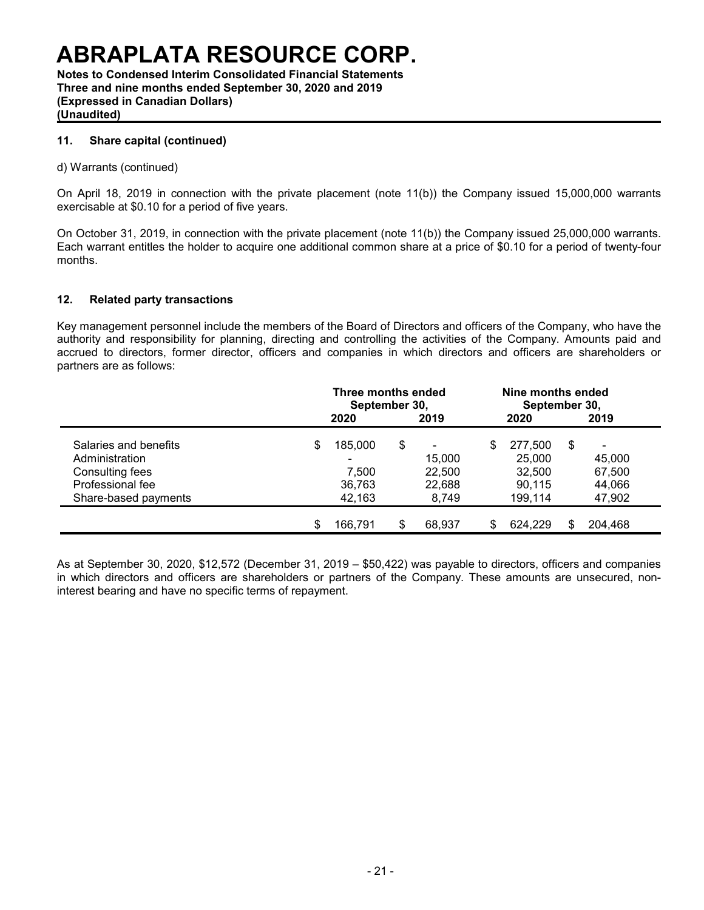**Notes to Condensed Interim Consolidated Financial Statements Three and nine months ended September 30, 2020 and 2019 (Expressed in Canadian Dollars) (Unaudited)**

### **11. Share capital (continued)**

#### d) Warrants (continued)

On April 18, 2019 in connection with the private placement (note 11(b)) the Company issued 15,000,000 warrants exercisable at \$0.10 for a period of five years.

On October 31, 2019, in connection with the private placement (note 11(b)) the Company issued 25,000,000 warrants. Each warrant entitles the holder to acquire one additional common share at a price of \$0.10 for a period of twenty-four months.

### **12. Related party transactions**

Key management personnel include the members of the Board of Directors and officers of the Company, who have the authority and responsibility for planning, directing and controlling the activities of the Company. Amounts paid and accrued to directors, former director, officers and companies in which directors and officers are shareholders or partners are as follows:

|                       | Three months ended<br>September 30, |         |      |                |      | Nine months ended<br>September 30, |     |                |  |  |
|-----------------------|-------------------------------------|---------|------|----------------|------|------------------------------------|-----|----------------|--|--|
|                       | 2020                                |         | 2019 |                | 2020 |                                    |     | 2019           |  |  |
| Salaries and benefits | \$                                  | 185.000 | \$   | $\blacksquare$ | \$   | 277.500                            | \$. | $\blacksquare$ |  |  |
| Administration        |                                     | -       |      | 15.000         |      | 25,000                             |     | 45,000         |  |  |
| Consulting fees       |                                     | 7.500   |      | 22,500         |      | 32,500                             |     | 67,500         |  |  |
| Professional fee      |                                     | 36,763  |      | 22,688         |      | 90.115                             |     | 44,066         |  |  |
| Share-based payments  |                                     | 42,163  |      | 8,749          |      | 199.114                            |     | 47,902         |  |  |
|                       | S                                   | 166.791 | \$   | 68.937         |      | 624.229                            | ደ.  | 204.468        |  |  |

As at September 30, 2020, \$12,572 (December 31, 2019 – \$50,422) was payable to directors, officers and companies in which directors and officers are shareholders or partners of the Company. These amounts are unsecured, noninterest bearing and have no specific terms of repayment.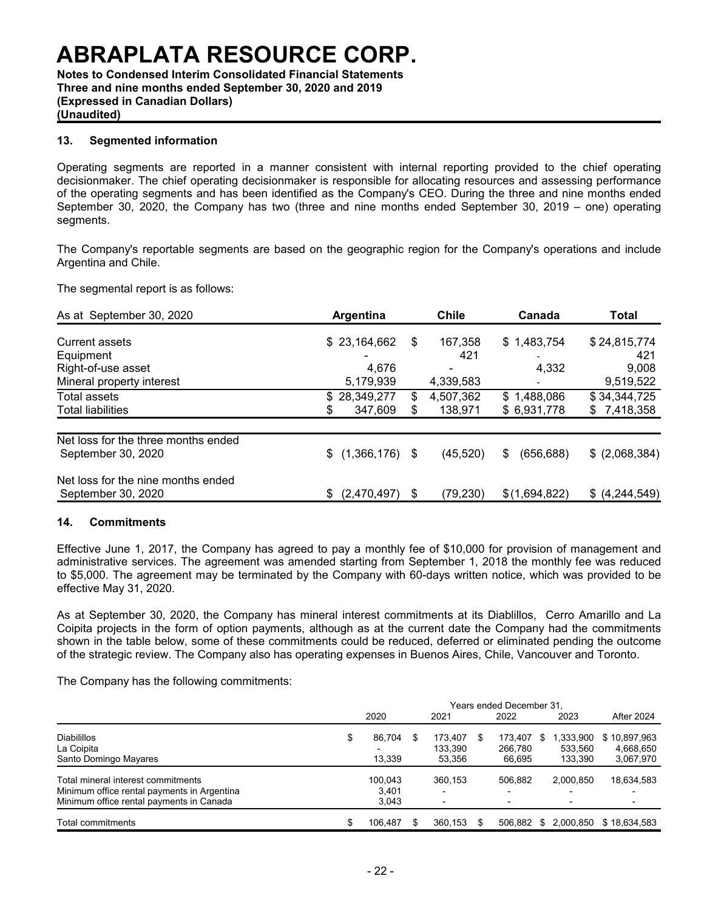**Notes to Condensed Interim Consolidated Financial Statements Three and nine months ended September 30, 2020 and 2019 (Expressed in Canadian Dollars) (Unaudited)**

#### **13. Segmented information**

Operating segments are reported in a manner consistent with internal reporting provided to the chief operating decisionmaker. The chief operating decisionmaker is responsible for allocating resources and assessing performance of the operating segments and has been identified as the Company's CEO. During the three and nine months ended September 30, 2020, the Company has two (three and nine months ended September 30, 2019 – one) operating segments.

The Company's reportable segments are based on the geographic region for the Company's operations and include Argentina and Chile.

The segmental report is as follows:

| As at September 30, 2020            | Argentina               |    | <b>Chile</b> | Canada                   | Total          |  |
|-------------------------------------|-------------------------|----|--------------|--------------------------|----------------|--|
| Current assets                      | \$23,164,662            | S  | 167,358      | \$1,483,754              | \$24,815,774   |  |
| Equipment                           |                         |    | 421          |                          | 421            |  |
| Right-of-use asset                  | 4,676                   |    |              | 4,332                    | 9,008          |  |
| Mineral property interest           | 5,179,939               |    | 4,339,583    | $\overline{\phantom{a}}$ | 9,519,522      |  |
| Total assets                        | \$28,349,277            | \$ | 4,507,362    | \$1,488,086              | \$34,344,725   |  |
| <b>Total liabilities</b>            | 347,609                 | \$ | 138,971      | \$6,931,778              | \$7,418,358    |  |
| Net loss for the three months ended |                         |    |              |                          |                |  |
| September 30, 2020                  | $(1,366,176)$ \$<br>\$. |    | (45, 520)    | (656, 688)<br>\$         | \$ (2,068,384) |  |
| Net loss for the nine months ended  |                         |    |              |                          |                |  |
| September 30, 2020                  | (2,470,497)<br>S.       | S  | (79, 230)    | \$(1,694,822)            | \$ (4,244,549) |  |

#### **14. Commitments**

Effective June 1, 2017, the Company has agreed to pay a monthly fee of \$10,000 for provision of management and administrative services. The agreement was amended starting from September 1, 2018 the monthly fee was reduced to \$5,000. The agreement may be terminated by the Company with 60-days written notice, which was provided to be effective May 31, 2020.

As at September 30, 2020, the Company has mineral interest commitments at its Diablillos, Cerro Amarillo and La Coipita projects in the form of option payments, although as at the current date the Company had the commitments shown in the table below, some of these commitments could be reduced, deferred or eliminated pending the outcome of the strategic review. The Company also has operating expenses in Buenos Aires, Chile, Vancouver and Toronto.

The Company has the following commitments:

|                                                                                                                               | Years ended December 31. |                           |    |                              |    |                              |  |                                            |                                        |  |
|-------------------------------------------------------------------------------------------------------------------------------|--------------------------|---------------------------|----|------------------------------|----|------------------------------|--|--------------------------------------------|----------------------------------------|--|
|                                                                                                                               |                          | 2020                      |    | 2021                         |    | 2022                         |  | 2023                                       | <b>After 2024</b>                      |  |
| <b>Diabilillos</b><br>La Coipita<br>Santo Domingo Mayares                                                                     | \$                       | 86.704<br>13,339          | \$ | 173.407<br>133.390<br>53.356 | \$ | 173.407<br>266.780<br>66.695 |  | 1,333,900<br>533.560<br>133.390            | \$10,897,963<br>4,668,650<br>3,067,970 |  |
| Total mineral interest commitments<br>Minimum office rental payments in Argentina<br>Minimum office rental payments in Canada |                          | 100.043<br>3.401<br>3.043 |    | 360.153                      |    | 506.882                      |  | 2.000.850<br>-<br>$\overline{\phantom{0}}$ | 18,634,583                             |  |
| Total commitments                                                                                                             | \$                       | 106.487                   |    | 360.153                      |    | 506.882                      |  |                                            | \$ 2.000.850 \$18.634.583              |  |